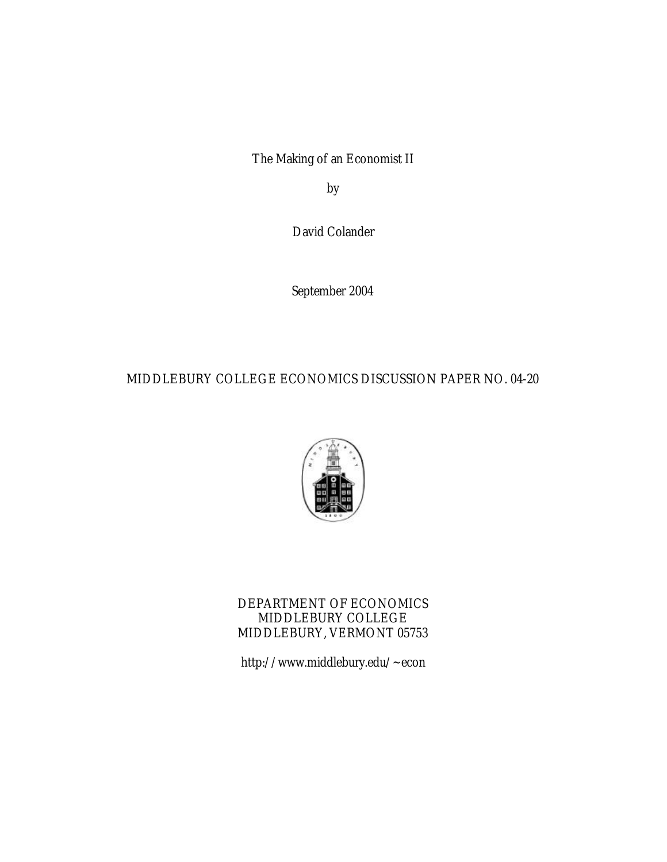The Making of an Economist II

by

David Colander

September 2004

# MIDDLEBURY COLLEGE ECONOMICS DISCUSSION PAPER NO. 04-20



# DEPARTMENT OF ECONOMICS MIDDLEBURY COLLEGE MIDDLEBURY, VERMONT 05753

http://www.middlebury.edu/~econ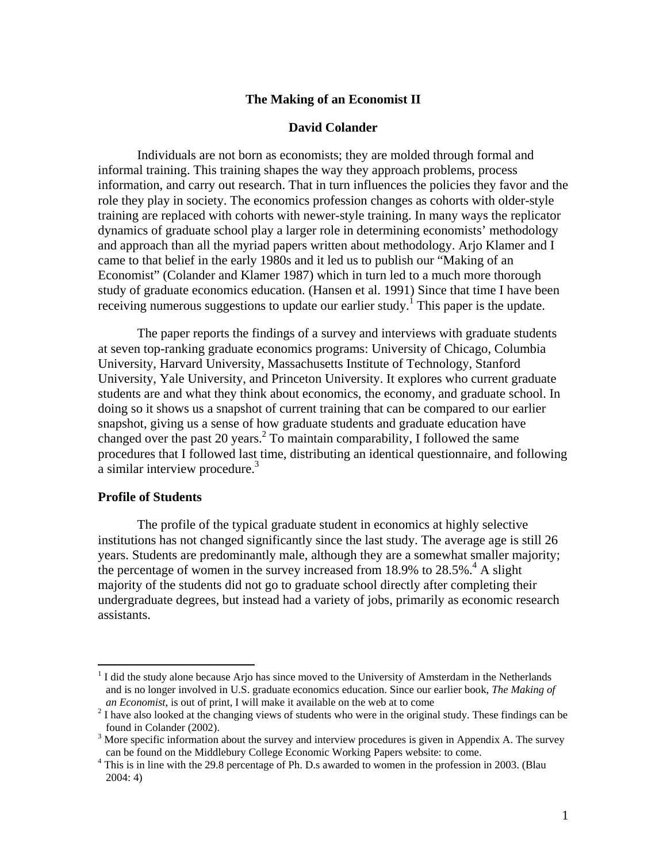### **The Making of an Economist II**

# **David Colander**

Individuals are not born as economists; they are molded through formal and informal training. This training shapes the way they approach problems, process information, and carry out research. That in turn influences the policies they favor and the role they play in society. The economics profession changes as cohorts with older-style training are replaced with cohorts with newer-style training. In many ways the replicator dynamics of graduate school play a larger role in determining economists' methodology and approach than all the myriad papers written about methodology. Arjo Klamer and I came to that belief in the early 1980s and it led us to publish our "Making of an Economist" (Colander and Klamer 1987) which in turn led to a much more thorough study of graduate economics education. (Hansen et al. 1991) Since that time I have been receivingnumerous suggestions to update our earlier study.<sup>1</sup> This paper is the update.

The paper reports the findings of a survey and interviews with graduate students at seven top-ranking graduate economics programs: University of Chicago, Columbia University, Harvard University, Massachusetts Institute of Technology, Stanford University, Yale University, and Princeton University. It explores who current graduate students are and what they think about economics, the economy, and graduate school. In doing so it shows us a snapshot of current training that can be compared to our earlier snapshot, giving us a sense of how graduate students and graduate education have changed over the past 20 years.<sup>2</sup> To maintain comparability, I followed the same procedures that I followed last [tim](#page-1-1)e, distributing an identical questionnaire, and following a similar interview procedure.<sup>3</sup>

#### **Profile of Students**

1

The profile of the typical graduate student in economics at highly selective institutions has not changed significantly since the last study. The average age is still 26 years. Students are predominantly male, although they are a somewhat smaller majority; the percentage of women in the survey increased from 18.9% to  $28.5\%$ .<sup>4</sup> A slight majority of the students did not go to graduate school directly after co[mpl](#page-1-3)eting their undergraduate degrees, but instead had a variety of jobs, primarily as economic research assistants.

<span id="page-1-0"></span> $<sup>1</sup>$  I did the study alone because Arjo has since moved to the University of Amsterdam in the Netherlands</sup> and is no longer involved in U.S. graduate economics education. Since our earlier book, *The Making of an Economist*, is out of print, I will make it available on the web at to come

<span id="page-1-1"></span> $2$  I have also looked at the changing views of students who were in the original study. These findings can be found in Colander (2002).

<span id="page-1-2"></span><sup>&</sup>lt;sup>3</sup> More specific information about the survey and interview procedures is given in Appendix A. The survey can be found on the Middlebury College Economic Working Papers website: to come. 4

<span id="page-1-3"></span><sup>&</sup>lt;sup>4</sup> This is in line with the 29.8 percentage of Ph. D.s awarded to women in the profession in 2003. (Blau 2004: 4)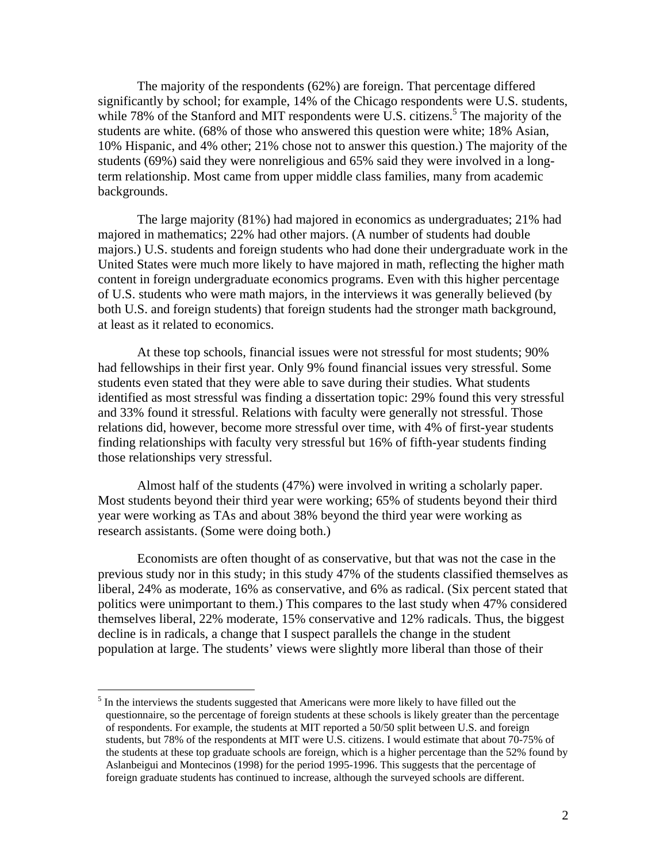The majority of the respondents (62%) are foreign. That percentage differed significantly by school; for example, 14% of the Chicago respondents were U.S. students, while  $78\%$  of the Stanford and MIT respondents were U.S. citizens.<sup>5</sup> The majority of the students are white. (68% of those who answered this question were [w](#page-2-0)hite; 18% Asian, 10% Hispanic, and 4% other; 21% chose not to answer this question.) The majority of the students (69%) said they were nonreligious and 65% said they were involved in a longterm relationship. Most came from upper middle class families, many from academic backgrounds.

The large majority (81%) had majored in economics as undergraduates; 21% had majored in mathematics; 22% had other majors. (A number of students had double majors.) U.S. students and foreign students who had done their undergraduate work in the United States were much more likely to have majored in math, reflecting the higher math content in foreign undergraduate economics programs. Even with this higher percentage of U.S. students who were math majors, in the interviews it was generally believed (by both U.S. and foreign students) that foreign students had the stronger math background, at least as it related to economics.

At these top schools, financial issues were not stressful for most students; 90% had fellowships in their first year. Only 9% found financial issues very stressful. Some students even stated that they were able to save during their studies. What students identified as most stressful was finding a dissertation topic: 29% found this very stressful and 33% found it stressful. Relations with faculty were generally not stressful. Those relations did, however, become more stressful over time, with 4% of first-year students finding relationships with faculty very stressful but 16% of fifth-year students finding those relationships very stressful.

Almost half of the students (47%) were involved in writing a scholarly paper. Most students beyond their third year were working; 65% of students beyond their third year were working as TAs and about 38% beyond the third year were working as research assistants. (Some were doing both.)

Economists are often thought of as conservative, but that was not the case in the previous study nor in this study; in this study 47% of the students classified themselves as liberal, 24% as moderate, 16% as conservative, and 6% as radical. (Six percent stated that politics were unimportant to them.) This compares to the last study when 47% considered themselves liberal, 22% moderate, 15% conservative and 12% radicals. Thus, the biggest decline is in radicals, a change that I suspect parallels the change in the student population at large. The students' views were slightly more liberal than those of their

<u>.</u>

<span id="page-2-0"></span> $<sup>5</sup>$  In the interviews the students suggested that Americans were more likely to have filled out the</sup> questionnaire, so the percentage of foreign students at these schools is likely greater than the percentage of respondents. For example, the students at MIT reported a 50/50 split between U.S. and foreign students, but 78% of the respondents at MIT were U.S. citizens. I would estimate that about 70-75% of the students at these top graduate schools are foreign, which is a higher percentage than the 52% found by Aslanbeigui and Montecinos (1998) for the period 1995-1996. This suggests that the percentage of foreign graduate students has continued to increase, although the surveyed schools are different.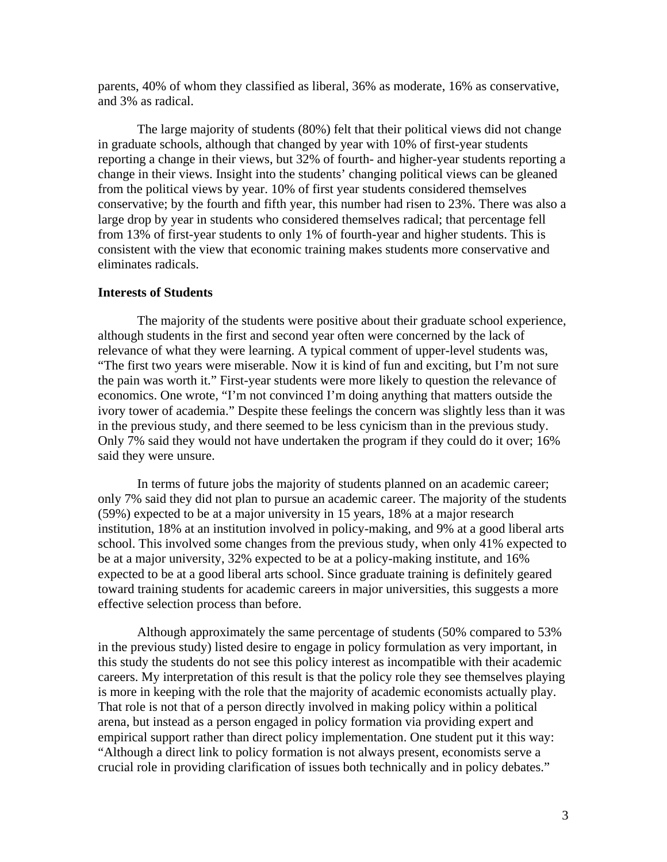parents, 40% of whom they classified as liberal, 36% as moderate, 16% as conservative, and 3% as radical.

The large majority of students (80%) felt that their political views did not change in graduate schools, although that changed by year with 10% of first-year students reporting a change in their views, but 32% of fourth- and higher-year students reporting a change in their views. Insight into the students' changing political views can be gleaned from the political views by year. 10% of first year students considered themselves conservative; by the fourth and fifth year, this number had risen to 23%. There was also a large drop by year in students who considered themselves radical; that percentage fell from 13% of first-year students to only 1% of fourth-year and higher students. This is consistent with the view that economic training makes students more conservative and eliminates radicals.

# **Interests of Students**

The majority of the students were positive about their graduate school experience, although students in the first and second year often were concerned by the lack of relevance of what they were learning. A typical comment of upper-level students was, "The first two years were miserable. Now it is kind of fun and exciting, but I'm not sure the pain was worth it." First-year students were more likely to question the relevance of economics. One wrote, "I'm not convinced I'm doing anything that matters outside the ivory tower of academia." Despite these feelings the concern was slightly less than it was in the previous study, and there seemed to be less cynicism than in the previous study. Only 7% said they would not have undertaken the program if they could do it over; 16% said they were unsure.

In terms of future jobs the majority of students planned on an academic career; only 7% said they did not plan to pursue an academic career. The majority of the students (59%) expected to be at a major university in 15 years, 18% at a major research institution, 18% at an institution involved in policy-making, and 9% at a good liberal arts school. This involved some changes from the previous study, when only 41% expected to be at a major university, 32% expected to be at a policy-making institute, and 16% expected to be at a good liberal arts school. Since graduate training is definitely geared toward training students for academic careers in major universities, this suggests a more effective selection process than before.

Although approximately the same percentage of students (50% compared to 53% in the previous study) listed desire to engage in policy formulation as very important, in this study the students do not see this policy interest as incompatible with their academic careers. My interpretation of this result is that the policy role they see themselves playing is more in keeping with the role that the majority of academic economists actually play. That role is not that of a person directly involved in making policy within a political arena, but instead as a person engaged in policy formation via providing expert and empirical support rather than direct policy implementation. One student put it this way: "Although a direct link to policy formation is not always present, economists serve a crucial role in providing clarification of issues both technically and in policy debates."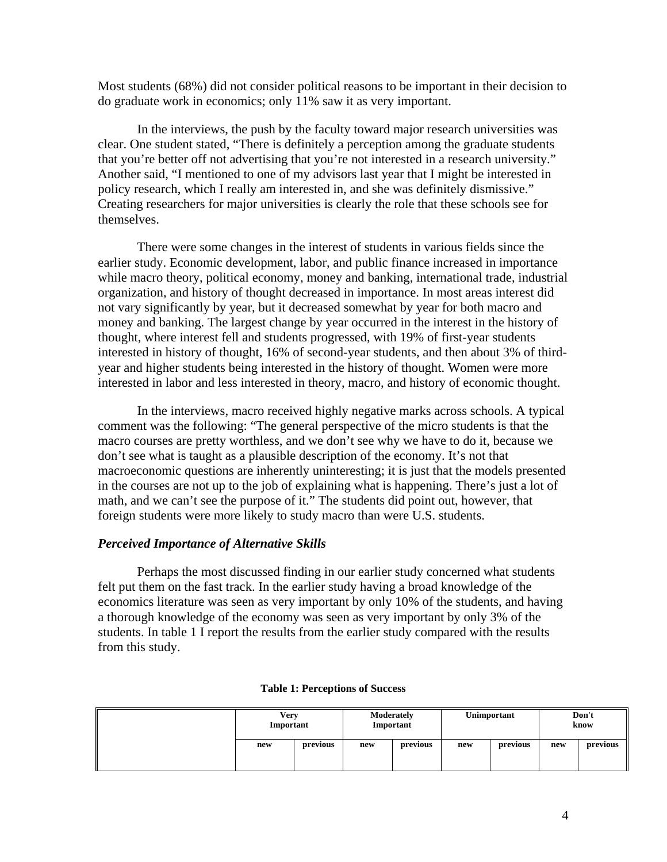Most students (68%) did not consider political reasons to be important in their decision to do graduate work in economics; only 11% saw it as very important.

In the interviews, the push by the faculty toward major research universities was clear. One student stated, "There is definitely a perception among the graduate students that you're better off not advertising that you're not interested in a research university." Another said, "I mentioned to one of my advisors last year that I might be interested in policy research, which I really am interested in, and she was definitely dismissive." Creating researchers for major universities is clearly the role that these schools see for themselves.

There were some changes in the interest of students in various fields since the earlier study. Economic development, labor, and public finance increased in importance while macro theory, political economy, money and banking, international trade, industrial organization, and history of thought decreased in importance. In most areas interest did not vary significantly by year, but it decreased somewhat by year for both macro and money and banking. The largest change by year occurred in the interest in the history of thought, where interest fell and students progressed, with 19% of first-year students interested in history of thought, 16% of second-year students, and then about 3% of thirdyear and higher students being interested in the history of thought. Women were more interested in labor and less interested in theory, macro, and history of economic thought.

In the interviews, macro received highly negative marks across schools. A typical comment was the following: "The general perspective of the micro students is that the macro courses are pretty worthless, and we don't see why we have to do it, because we don't see what is taught as a plausible description of the economy. It's not that macroeconomic questions are inherently uninteresting; it is just that the models presented in the courses are not up to the job of explaining what is happening. There's just a lot of math, and we can't see the purpose of it." The students did point out, however, that foreign students were more likely to study macro than were U.S. students.

# *Perceived Importance of Alternative Skills*

Perhaps the most discussed finding in our earlier study concerned what students felt put them on the fast track. In the earlier study having a broad knowledge of the economics literature was seen as very important by only 10% of the students, and having a thorough knowledge of the economy was seen as very important by only 3% of the students. In table 1 I report the results from the earlier study compared with the results from this study.

| <b>Very</b><br>Important |          |     | Moderately<br>Important |     | Unimportant | Don't<br>know |          |
|--------------------------|----------|-----|-------------------------|-----|-------------|---------------|----------|
| new                      | previous | new | previous                | new | previous    | new           | previous |

#### **Table 1: Perceptions of Success**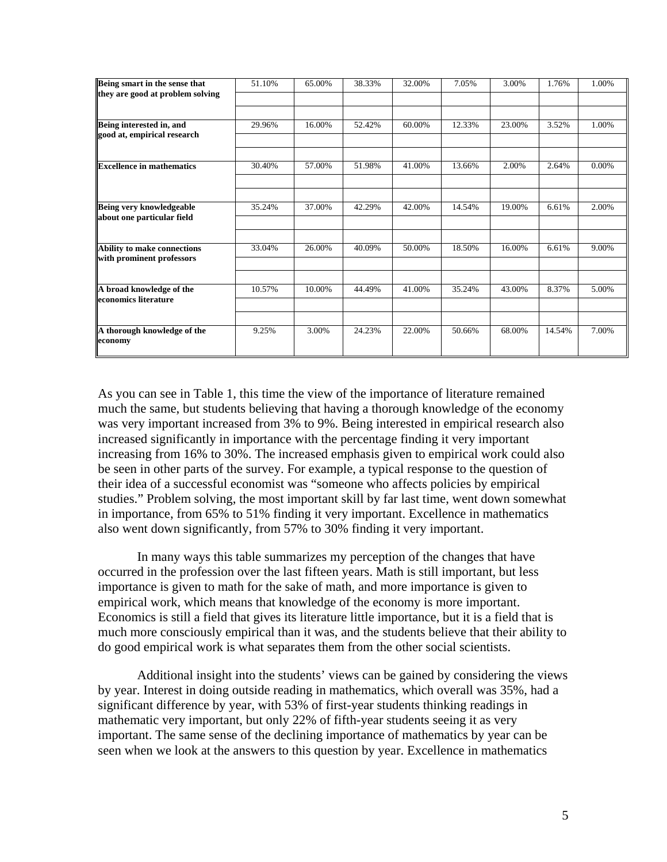| Being smart in the sense that                                   | 51.10% | 65.00% | 38.33% | 32.00% | 7.05%  | 3.00%  | 1.76%  | 1.00% |
|-----------------------------------------------------------------|--------|--------|--------|--------|--------|--------|--------|-------|
| they are good at problem solving                                |        |        |        |        |        |        |        |       |
| Being interested in, and                                        | 29.96% | 16.00% | 52.42% | 60.00% | 12.33% | 23.00% | 3.52%  | 1.00% |
| good at, empirical research                                     |        |        |        |        |        |        |        |       |
| <b>Excellence in mathematics</b>                                | 30.40% | 57.00% | 51.98% | 41.00% | 13.66% | 2.00%  | 2.64%  | 0.00% |
|                                                                 |        |        |        |        |        |        |        |       |
| Being very knowledgeable<br>about one particular field          | 35.24% | 37.00% | 42.29% | 42.00% | 14.54% | 19.00% | 6.61%  | 2.00% |
|                                                                 |        |        |        |        |        |        |        |       |
| <b>Ability to make connections</b><br>with prominent professors | 33.04% | 26.00% | 40.09% | 50.00% | 18.50% | 16.00% | 6.61%  | 9.00% |
|                                                                 |        |        |        |        |        |        |        |       |
| A broad knowledge of the                                        | 10.57% | 10.00% | 44.49% | 41.00% | 35.24% | 43.00% | 8.37%  | 5.00% |
| economics literature                                            |        |        |        |        |        |        |        |       |
| A thorough knowledge of the<br>economy                          | 9.25%  | 3.00%  | 24.23% | 22.00% | 50.66% | 68.00% | 14.54% | 7.00% |

As you can see in Table 1, this time the view of the importance of literature remained much the same, but students believing that having a thorough knowledge of the economy was very important increased from 3% to 9%. Being interested in empirical research also increased significantly in importance with the percentage finding it very important increasing from 16% to 30%. The increased emphasis given to empirical work could also be seen in other parts of the survey. For example, a typical response to the question of their idea of a successful economist was "someone who affects policies by empirical studies." Problem solving, the most important skill by far last time, went down somewhat in importance, from 65% to 51% finding it very important. Excellence in mathematics also went down significantly, from 57% to 30% finding it very important.

In many ways this table summarizes my perception of the changes that have occurred in the profession over the last fifteen years. Math is still important, but less importance is given to math for the sake of math, and more importance is given to empirical work, which means that knowledge of the economy is more important. Economics is still a field that gives its literature little importance, but it is a field that is much more consciously empirical than it was, and the students believe that their ability to do good empirical work is what separates them from the other social scientists.

Additional insight into the students' views can be gained by considering the views by year. Interest in doing outside reading in mathematics, which overall was 35%, had a significant difference by year, with 53% of first-year students thinking readings in mathematic very important, but only 22% of fifth-year students seeing it as very important. The same sense of the declining importance of mathematics by year can be seen when we look at the answers to this question by year. Excellence in mathematics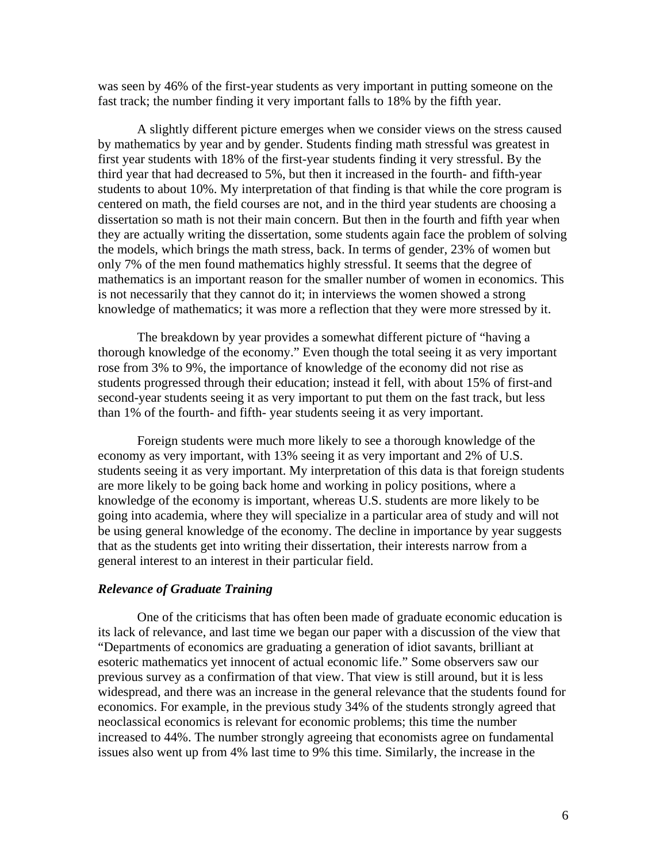was seen by 46% of the first-year students as very important in putting someone on the fast track; the number finding it very important falls to 18% by the fifth year.

A slightly different picture emerges when we consider views on the stress caused by mathematics by year and by gender. Students finding math stressful was greatest in first year students with 18% of the first-year students finding it very stressful. By the third year that had decreased to 5%, but then it increased in the fourth- and fifth-year students to about 10%. My interpretation of that finding is that while the core program is centered on math, the field courses are not, and in the third year students are choosing a dissertation so math is not their main concern. But then in the fourth and fifth year when they are actually writing the dissertation, some students again face the problem of solving the models, which brings the math stress, back. In terms of gender, 23% of women but only 7% of the men found mathematics highly stressful. It seems that the degree of mathematics is an important reason for the smaller number of women in economics. This is not necessarily that they cannot do it; in interviews the women showed a strong knowledge of mathematics; it was more a reflection that they were more stressed by it.

The breakdown by year provides a somewhat different picture of "having a thorough knowledge of the economy." Even though the total seeing it as very important rose from 3% to 9%, the importance of knowledge of the economy did not rise as students progressed through their education; instead it fell, with about 15% of first-and second-year students seeing it as very important to put them on the fast track, but less than 1% of the fourth- and fifth- year students seeing it as very important.

Foreign students were much more likely to see a thorough knowledge of the economy as very important, with 13% seeing it as very important and 2% of U.S. students seeing it as very important. My interpretation of this data is that foreign students are more likely to be going back home and working in policy positions, where a knowledge of the economy is important, whereas U.S. students are more likely to be going into academia, where they will specialize in a particular area of study and will not be using general knowledge of the economy. The decline in importance by year suggests that as the students get into writing their dissertation, their interests narrow from a general interest to an interest in their particular field.

# *Relevance of Graduate Training*

One of the criticisms that has often been made of graduate economic education is its lack of relevance, and last time we began our paper with a discussion of the view that "Departments of economics are graduating a generation of idiot savants, brilliant at esoteric mathematics yet innocent of actual economic life." Some observers saw our previous survey as a confirmation of that view. That view is still around, but it is less widespread, and there was an increase in the general relevance that the students found for economics. For example, in the previous study 34% of the students strongly agreed that neoclassical economics is relevant for economic problems; this time the number increased to 44%. The number strongly agreeing that economists agree on fundamental issues also went up from 4% last time to 9% this time. Similarly, the increase in the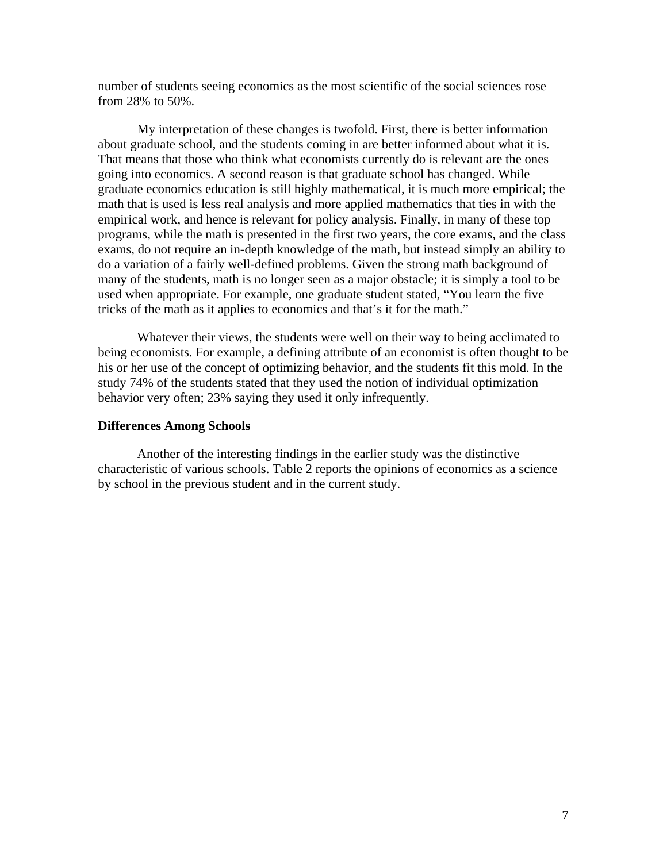number of students seeing economics as the most scientific of the social sciences rose from 28% to 50%.

My interpretation of these changes is twofold. First, there is better information about graduate school, and the students coming in are better informed about what it is. That means that those who think what economists currently do is relevant are the ones going into economics. A second reason is that graduate school has changed. While graduate economics education is still highly mathematical, it is much more empirical; the math that is used is less real analysis and more applied mathematics that ties in with the empirical work, and hence is relevant for policy analysis. Finally, in many of these top programs, while the math is presented in the first two years, the core exams, and the class exams, do not require an in-depth knowledge of the math, but instead simply an ability to do a variation of a fairly well-defined problems. Given the strong math background of many of the students, math is no longer seen as a major obstacle; it is simply a tool to be used when appropriate. For example, one graduate student stated, "You learn the five tricks of the math as it applies to economics and that's it for the math."

Whatever their views, the students were well on their way to being acclimated to being economists. For example, a defining attribute of an economist is often thought to be his or her use of the concept of optimizing behavior, and the students fit this mold. In the study 74% of the students stated that they used the notion of individual optimization behavior very often; 23% saying they used it only infrequently.

### **Differences Among Schools**

Another of the interesting findings in the earlier study was the distinctive characteristic of various schools. Table 2 reports the opinions of economics as a science by school in the previous student and in the current study.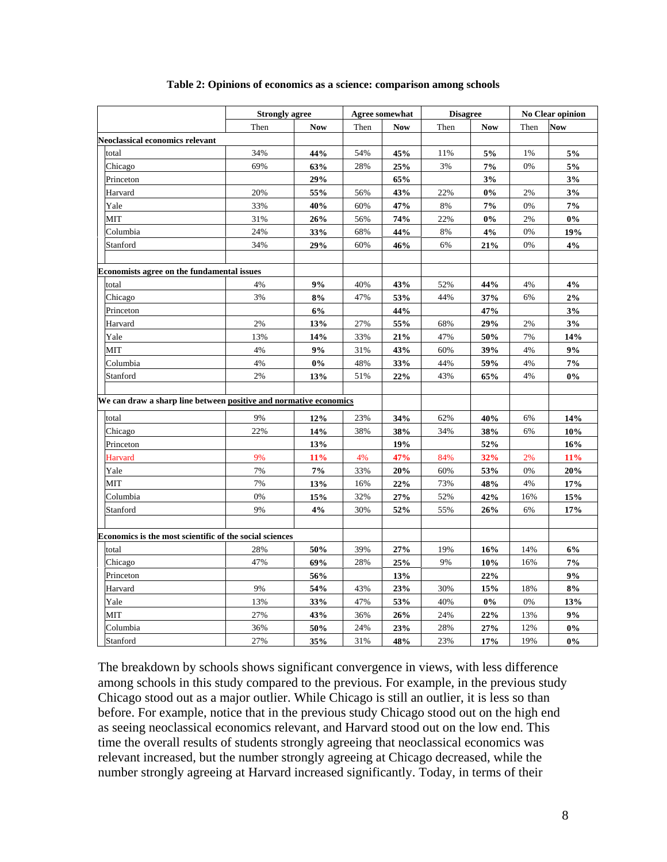|                                                                   |      | <b>Strongly agree</b> |      | <b>Agree somewhat</b> |      | <b>Disagree</b> |      | <b>No Clear opinion</b> |  |
|-------------------------------------------------------------------|------|-----------------------|------|-----------------------|------|-----------------|------|-------------------------|--|
|                                                                   | Then | <b>Now</b>            | Then | <b>Now</b>            | Then | <b>Now</b>      | Then | <b>Now</b>              |  |
| Neoclassical economics relevant                                   |      |                       |      |                       |      |                 |      |                         |  |
| total                                                             | 34%  | 44%                   | 54%  | 45%                   | 11%  | 5%              | 1%   | 5%                      |  |
| Chicago                                                           | 69%  | 63%                   | 28%  | 25%                   | 3%   | 7%              | 0%   | 5%                      |  |
| Princeton                                                         |      | 29%                   |      | 65%                   |      | 3%              |      | 3%                      |  |
| Harvard                                                           | 20%  | 55%                   | 56%  | 43%                   | 22%  | $0\%$           | 2%   | 3%                      |  |
| Yale                                                              | 33%  | 40%                   | 60%  | 47%                   | 8%   | 7%              | 0%   | 7%                      |  |
| MIT                                                               | 31%  | 26%                   | 56%  | 74%                   | 22%  | 0%              | 2%   | $0\%$                   |  |
| Columbia                                                          | 24%  | 33%                   | 68%  | 44%                   | 8%   | 4%              | 0%   | 19%                     |  |
| Stanford                                                          | 34%  | 29%                   | 60%  | 46%                   | 6%   | 21%             | 0%   | 4%                      |  |
| Economists agree on the fundamental issues                        |      |                       |      |                       |      |                 |      |                         |  |
| total                                                             | 4%   | 9%                    | 40%  | 43%                   | 52%  | 44%             | 4%   | 4%                      |  |
| Chicago                                                           | 3%   | 8%                    | 47%  | 53%                   | 44%  | 37%             | 6%   | 2%                      |  |
| Princeton                                                         |      | 6%                    |      | 44%                   |      | 47%             |      | 3%                      |  |
| Harvard                                                           | 2%   | 13%                   | 27%  | 55%                   | 68%  | 29%             | 2%   | 3%                      |  |
| Yale                                                              | 13%  | 14%                   | 33%  | 21%                   | 47%  | 50%             | 7%   | 14%                     |  |
| MIT                                                               | 4%   | 9%                    | 31%  | 43%                   | 60%  | 39%             | 4%   | 9%                      |  |
| Columbia                                                          | 4%   | $0\%$                 | 48%  | 33%                   | 44%  | 59%             | 4%   | 7%                      |  |
| Stanford                                                          | 2%   | 13%                   | 51%  | 22%                   | 43%  | 65%             | 4%   | $0\%$                   |  |
| We can draw a sharp line between positive and normative economics |      |                       |      |                       |      |                 |      |                         |  |
| total                                                             | 9%   | 12%                   | 23%  | 34%                   | 62%  | 40%             | 6%   | 14%                     |  |
| Chicago                                                           | 22%  | 14%                   | 38%  | 38%                   | 34%  | 38%             | 6%   | 10%                     |  |
| Princeton                                                         |      | 13%                   |      | 19%                   |      | 52%             |      | 16%                     |  |
| Harvard                                                           | 9%   | 11%                   | 4%   | 47%                   | 84%  | 32%             | 2%   | 11%                     |  |
| Yale                                                              | 7%   | 7%                    | 33%  | 20%                   | 60%  | 53%             | 0%   | 20%                     |  |
| MIT                                                               | 7%   | 13%                   | 16%  | 22%                   | 73%  | 48%             | 4%   | 17%                     |  |
| Columbia                                                          | 0%   | 15%                   | 32%  | 27%                   | 52%  | 42%             | 16%  | 15%                     |  |
| Stanford                                                          | 9%   | 4%                    | 30%  | 52%                   | 55%  | 26%             | 6%   | 17%                     |  |
| Economics is the most scientific of the social sciences           |      |                       |      |                       |      |                 |      |                         |  |
| total                                                             | 28%  | 50%                   | 39%  | 27%                   | 19%  | 16%             | 14%  | 6%                      |  |
| Chicago                                                           | 47%  | 69%                   | 28%  | 25%                   | 9%   | 10%             | 16%  | 7%                      |  |
| Princeton                                                         |      | 56%                   |      | 13%                   |      | 22%             |      | 9%                      |  |
| Harvard                                                           | 9%   | 54%                   | 43%  | 23%                   | 30%  | 15%             | 18%  | 8%                      |  |
| Yale                                                              | 13%  | 33%                   | 47%  | 53%                   | 40%  | $0\%$           | 0%   | 13%                     |  |
| MIT                                                               | 27%  | 43%                   | 36%  | 26%                   | 24%  | 22%             | 13%  | 9%                      |  |
| Columbia                                                          | 36%  | 50%                   | 24%  | 23%                   | 28%  | 27%             | 12%  | $0\%$                   |  |
| Stanford                                                          | 27%  | 35%                   | 31%  | 48%                   | 23%  | 17%             | 19%  | $0\%$                   |  |

### **Table 2: Opinions of economics as a science: comparison among schools**

The breakdown by schools shows significant convergence in views, with less difference among schools in this study compared to the previous. For example, in the previous study Chicago stood out as a major outlier. While Chicago is still an outlier, it is less so than before. For example, notice that in the previous study Chicago stood out on the high end as seeing neoclassical economics relevant, and Harvard stood out on the low end. This time the overall results of students strongly agreeing that neoclassical economics was relevant increased, but the number strongly agreeing at Chicago decreased, while the number strongly agreeing at Harvard increased significantly. Today, in terms of their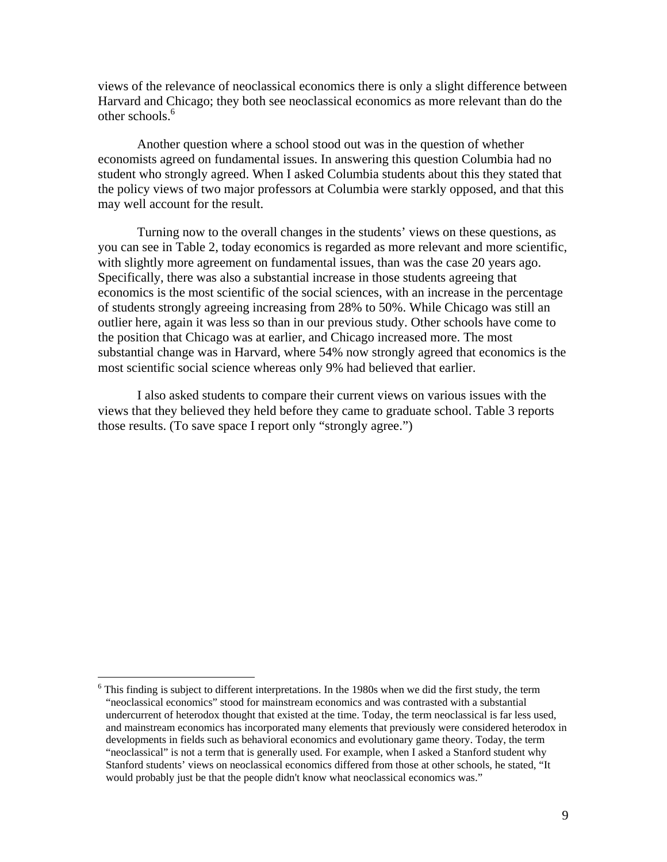views of the relevance of neoclassical economics there is only a slight difference between Harvard and Chicago; they both see neoclassical economics as more relevant than do the other schools.<sup>6</sup>

Another question where a school stood out was in the question of whether economists agreed on fundamental issues. In answering this question Columbia had no student who strongly agreed. When I asked Columbia students about this they stated that the policy views of two major professors at Columbia were starkly opposed, and that this may well account for the result.

Turning now to the overall changes in the students' views on these questions, as you can see in Table 2, today economics is regarded as more relevant and more scientific, with slightly more agreement on fundamental issues, than was the case 20 years ago. Specifically, there was also a substantial increase in those students agreeing that economics is the most scientific of the social sciences, with an increase in the percentage of students strongly agreeing increasing from 28% to 50%. While Chicago was still an outlier here, again it was less so than in our previous study. Other schools have come to the position that Chicago was at earlier, and Chicago increased more. The most substantial change was in Harvard, where 54% now strongly agreed that economics is the most scientific social science whereas only 9% had believed that earlier.

I also asked students to compare their current views on various issues with the views that they believed they held before they came to graduate school. Table 3 reports those results. (To save space I report only "strongly agree.")

1

<span id="page-9-0"></span><sup>6</sup> This finding is subject to different interpretations. In the 1980s when we did the first study, the term "neoclassical economics" stood for mainstream economics and was contrasted with a substantial undercurrent of heterodox thought that existed at the time. Today, the term neoclassical is far less used, and mainstream economics has incorporated many elements that previously were considered heterodox in developments in fields such as behavioral economics and evolutionary game theory. Today, the term "neoclassical" is not a term that is generally used. For example, when I asked a Stanford student why Stanford students' views on neoclassical economics differed from those at other schools, he stated, "It would probably just be that the people didn't know what neoclassical economics was."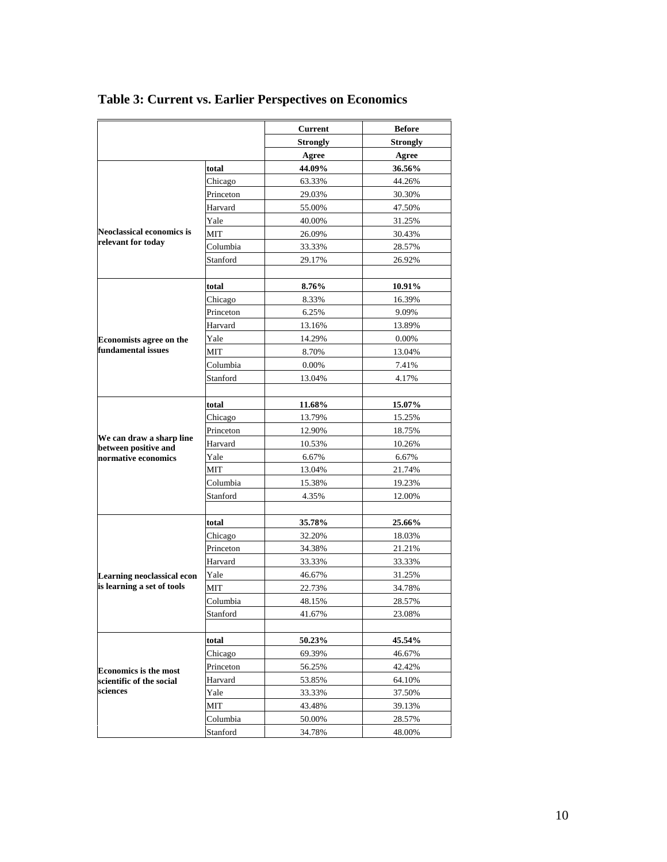|                                                  |            | <b>Current</b>  | <b>Before</b>   |
|--------------------------------------------------|------------|-----------------|-----------------|
|                                                  |            | <b>Strongly</b> | <b>Strongly</b> |
|                                                  |            | Agree           | Agree           |
|                                                  | total      | 44.09%          | 36.56%          |
|                                                  | Chicago    | 63.33%          | 44.26%          |
|                                                  | Princeton  | 29.03%          | 30.30%          |
|                                                  | Harvard    | 55.00%          | 47.50%          |
|                                                  | Yale       | 40.00%          | 31.25%          |
| <b>Neoclassical economics is</b>                 | MIT        | 26.09%          | 30.43%          |
| relevant for todav                               | Columbia   | 33.33%          | 28.57%          |
|                                                  | Stanford   | 29.17%          | 26.92%          |
|                                                  |            |                 |                 |
|                                                  | total      | 8.76%           | 10.91%          |
|                                                  | Chicago    | 8.33%           | 16.39%          |
|                                                  | Princeton  | 6.25%           | 9.09%           |
|                                                  | Harvard    | 13.16%          | 13.89%          |
| <b>Economists agree on the</b>                   | Yale       | 14.29%          | 0.00%           |
| fundamental issues                               | MIT        | 8.70%           | 13.04%          |
|                                                  | Columbia   | 0.00%           | 7.41%           |
|                                                  | Stanford   | 13.04%          | 4.17%           |
|                                                  |            |                 |                 |
|                                                  | total      | 11.68%          | 15.07%          |
|                                                  | Chicago    | 13.79%          | 15.25%          |
|                                                  | Princeton  | 12.90%          | 18.75%          |
| We can draw a sharp line<br>between positive and | Harvard    | 10.53%          | 10.26%          |
| normative economics                              | Yale       | 6.67%           | 6.67%           |
|                                                  | МIТ        | 13.04%          | 21.74%          |
|                                                  | Columbia   | 15.38%          | 19.23%          |
|                                                  | Stanford   | 4.35%           | 12.00%          |
|                                                  |            |                 |                 |
|                                                  | total      | 35.78%          | 25.66%          |
|                                                  | Chicago    | 32.20%          | 18.03%          |
|                                                  | Princeton  | 34.38%          | 21.21%          |
|                                                  | Harvard    | 33.33%          | 33.33%          |
| Learning neoclassical econ                       | Yale       | 46.67%          | 31.25%          |
| is learning a set of tools                       | <b>MIT</b> | 22.73%          | 34.78%          |
|                                                  | Columbia   | 48.15%          | 28.57%          |
|                                                  | Stanford   | 41.67%          | 23.08%          |
|                                                  |            |                 |                 |
|                                                  | total      | 50.23%          | 45.54%          |
|                                                  | Chicago    | 69.39%          | 46.67%          |
| <b>Economics is the most</b>                     | Princeton  | 56.25%          | 42.42%          |
| scientific of the social                         | Harvard    | 53.85%          | 64.10%          |
| sciences                                         | Yale       | 33.33%          | 37.50%          |
|                                                  | MIT        | 43.48%          | 39.13%          |
|                                                  | Columbia   | 50.00%          | 28.57%          |
|                                                  | Stanford   | 34.78%          | 48.00%          |
|                                                  |            |                 |                 |

# **Table 3: Current vs. Earlier Perspectives on Economics**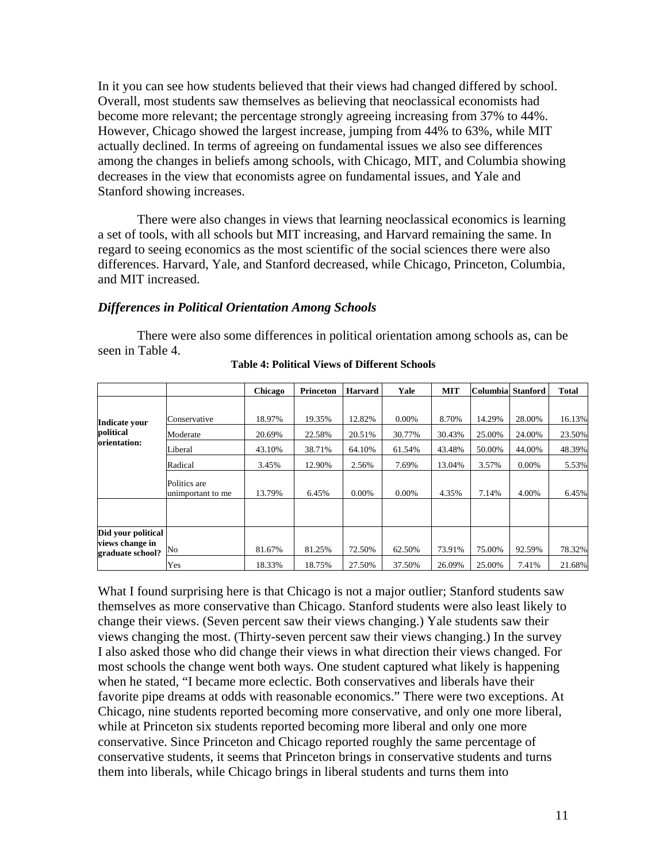In it you can see how students believed that their views had changed differed by school. Overall, most students saw themselves as believing that neoclassical economists had become more relevant; the percentage strongly agreeing increasing from 37% to 44%. However, Chicago showed the largest increase, jumping from 44% to 63%, while MIT actually declined. In terms of agreeing on fundamental issues we also see differences among the changes in beliefs among schools, with Chicago, MIT, and Columbia showing decreases in the view that economists agree on fundamental issues, and Yale and Stanford showing increases.

There were also changes in views that learning neoclassical economics is learning a set of tools, with all schools but MIT increasing, and Harvard remaining the same. In regard to seeing economics as the most scientific of the social sciences there were also differences. Harvard, Yale, and Stanford decreased, while Chicago, Princeton, Columbia, and MIT increased.

# *Differences in Political Orientation Among Schools*

There were also some differences in political orientation among schools as, can be seen in Table 4.

|                                     |                   | Chicago | Princeton | <b>Harvard</b> | Yale   | <b>MIT</b> |        | <b>Columbial Stanford</b> | <b>Total</b> |
|-------------------------------------|-------------------|---------|-----------|----------------|--------|------------|--------|---------------------------|--------------|
|                                     |                   |         |           |                |        |            |        |                           |              |
| <b>Indicate vour</b>                | Conservative      | 18.97%  | 19.35%    | 12.82%         | 0.00%  | 8.70%      | 14.29% | 28.00%                    | 16.13%       |
| political                           | Moderate          | 20.69%  | 22.58%    | 20.51%         | 30.77% | 30.43%     | 25.00% | 24.00%                    | 23.50%       |
| orientation:                        | Liberal           | 43.10%  | 38.71%    | 64.10%         | 61.54% | 43.48%     | 50.00% | 44.00%                    | 48.39%       |
|                                     | Radical           | 3.45%   | 12.90%    | 2.56%          | 7.69%  | 13.04%     | 3.57%  | 0.00%                     | 5.53%        |
|                                     | Politics are      | 13.79%  | 6.45%     | 0.00%          | 0.00%  | 4.35%      | 7.14%  | 4.00%                     | 6.45%        |
|                                     | unimportant to me |         |           |                |        |            |        |                           |              |
|                                     |                   |         |           |                |        |            |        |                           |              |
| Did your political                  |                   |         |           |                |        |            |        |                           |              |
| views change in<br>graduate school? | No                | 81.67%  | 81.25%    | 72.50%         | 62.50% | 73.91%     | 75.00% | 92.59%                    | 78.32%       |
|                                     | Yes               | 18.33%  | 18.75%    | 27.50%         | 37.50% | 26.09%     | 25.00% | 7.41%                     | 21.68%       |

**Table 4: Political Views of Different Schools** 

What I found surprising here is that Chicago is not a major outlier; Stanford students saw themselves as more conservative than Chicago. Stanford students were also least likely to change their views. (Seven percent saw their views changing.) Yale students saw their views changing the most. (Thirty-seven percent saw their views changing.) In the survey I also asked those who did change their views in what direction their views changed. For most schools the change went both ways. One student captured what likely is happening when he stated, "I became more eclectic. Both conservatives and liberals have their favorite pipe dreams at odds with reasonable economics." There were two exceptions. At Chicago, nine students reported becoming more conservative, and only one more liberal, while at Princeton six students reported becoming more liberal and only one more conservative. Since Princeton and Chicago reported roughly the same percentage of conservative students, it seems that Princeton brings in conservative students and turns them into liberals, while Chicago brings in liberal students and turns them into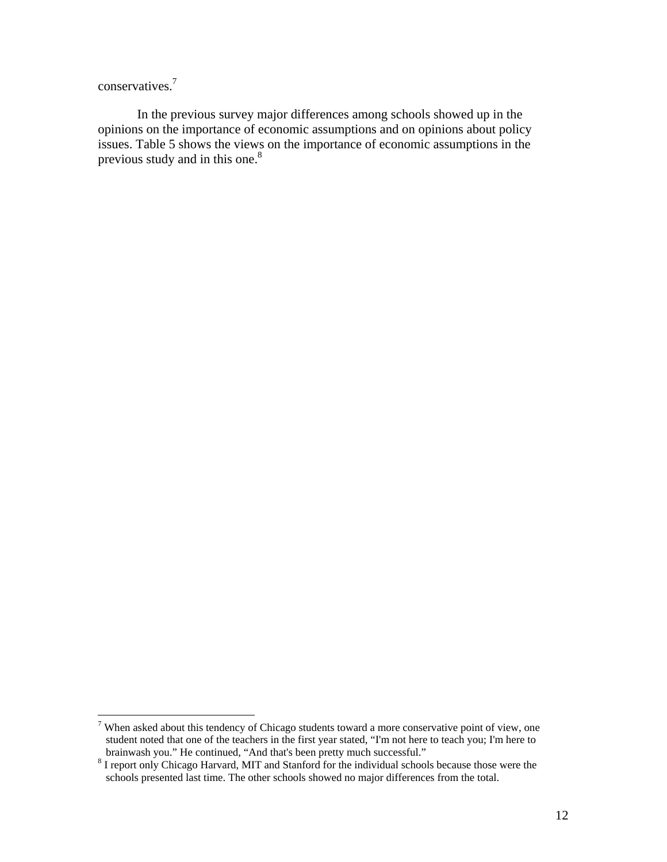conservatives[.](#page-12-0)7

1

In the previous survey major differences among schools showed up in the opinions on the importance of economic assumptions and on opinions about policy issues. Table 5 shows the views on the importance of economic assumptions in the previous study and in this one. $8<sup>8</sup>$ 

<span id="page-12-0"></span><sup>&</sup>lt;sup>7</sup> When asked about this tendency of Chicago students toward a more conservative point of view, one student noted that one of the teachers in the first year stated, "I'm not here to teach you; I'm here to

<span id="page-12-1"></span>brainwash you." He continued, "And that's been pretty much successful." 8 I report only Chicago Harvard, MIT and Stanford for the individual schools because those were the schools presented last time. The other schools showed no major differences from the total.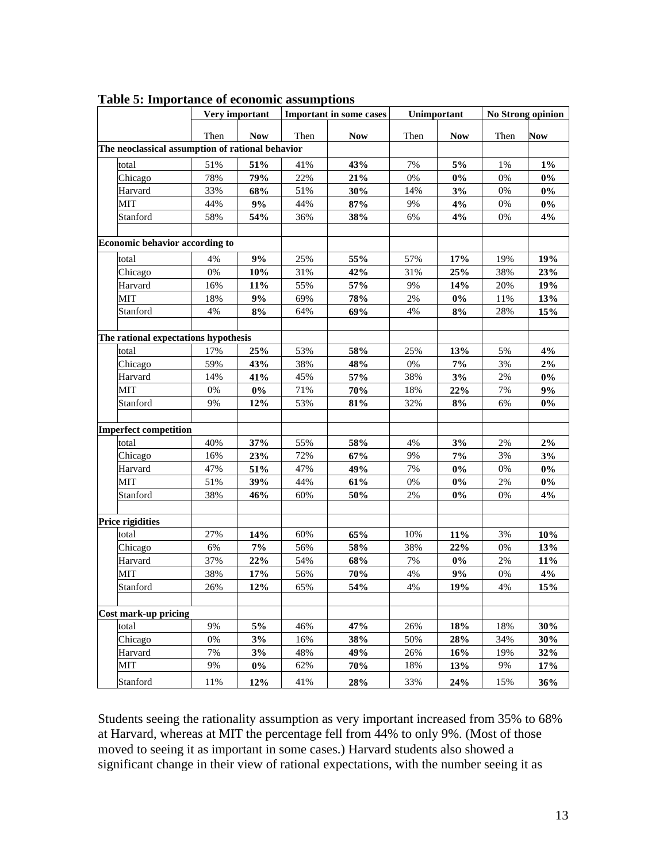|                                                  |      | Very important |        | Important in some cases |       | Unimportant | No Strong opinion |            |  |
|--------------------------------------------------|------|----------------|--------|-------------------------|-------|-------------|-------------------|------------|--|
|                                                  | Then | <b>Now</b>     | Then   | <b>Now</b>              | Then  | <b>Now</b>  | Then              | <b>Now</b> |  |
| The neoclassical assumption of rational behavior |      |                |        |                         |       |             |                   |            |  |
| total                                            | 51%  | 51%            | 41%    | 43%                     | 7%    | 5%          | 1%                | $1\%$      |  |
| Chicago                                          | 78%  | 79%            | 22%    | 21%                     | 0%    | $0\%$       | 0%                | $0\%$      |  |
| Harvard                                          | 33%  | 68%            | 51%    | 30%                     | 14%   | 3%          | $0\%$             | $0\%$      |  |
| MIT                                              | 44%  | 9%             | 44%    | 87%                     | 9%    | 4%          | 0%                | $0\%$      |  |
| Stanford                                         | 58%  | 54%            | 36%    | 38%                     | 6%    | 4%          | 0%                | 4%         |  |
|                                                  |      |                |        |                         |       |             |                   |            |  |
| Economic behavior according to                   |      |                |        |                         |       |             |                   |            |  |
| total                                            | 4%   | 9%             | 25%    | 55%                     | 57%   | 17%         | 19%               | 19%        |  |
| Chicago                                          | 0%   | $10\%$         | 31%    | 42%                     | 31%   | 25%         | 38%               | 23%        |  |
| Harvard                                          | 16%  | 11%            | 55%    | 57%                     | 9%    | 14%         | 20%               | 19%        |  |
| MIT                                              | 18%  | $9\%$          | 69%    | 78%                     | $2\%$ | $0\%$       | 11%               | 13%        |  |
| Stanford                                         | 4%   | $8\%$          | 64%    | 69%                     | 4%    | 8%          | 28%               | 15%        |  |
|                                                  |      |                |        |                         |       |             |                   |            |  |
| The rational expectations hypothesis             |      |                |        |                         |       |             |                   |            |  |
| total                                            | 17%  | 25%            | 53%    | 58%                     | 25%   | 13%         | 5%                | 4%         |  |
| Chicago                                          | 59%  | 43%            | 38%    | 48%                     | $0\%$ | $7\%$       | 3%                | $2\%$      |  |
| Harvard                                          | 14%  | 41%            | 45%    | 57%                     | 38%   | 3%          | 2%                | $0\%$      |  |
| MIT                                              | 0%   | $0\%$          | 71%    | 70%                     | 18%   | 22%         | 7%                | $9\%$      |  |
| Stanford                                         | 9%   | 12%            | 53%    | 81%                     | 32%   | 8%          | 6%                | 0%         |  |
| <b>Imperfect competition</b>                     |      |                |        |                         |       |             |                   |            |  |
| total                                            | 40%  | 37%            | 55%    | 58%                     | 4%    | 3%          | 2%                | 2%         |  |
| Chicago                                          | 16%  | 23%            | 72%    | 67%                     | 9%    | 7%          | 3%                | 3%         |  |
| Harvard                                          | 47%  | 51%            | 47%    | 49%                     | 7%    | $0\%$       | 0%                | 0%         |  |
| MIT                                              | 51%  | 39%            | 44%    | 61%                     | $0\%$ | $0\%$       | 2%                | 0%         |  |
| Stanford                                         | 38%  | 46%            | $60\%$ | 50%                     | 2%    | $0\%$       | 0%                | 4%         |  |
|                                                  |      |                |        |                         |       |             |                   |            |  |
| <b>Price rigidities</b>                          |      |                |        |                         |       |             |                   |            |  |
| total                                            | 27%  | 14%            | 60%    | 65%                     | 10%   | 11%         | 3%                | 10%        |  |
| Chicago                                          | 6%   | 7%             | 56%    | 58%                     | 38%   | 22%         | $0\%$             | 13%        |  |
| Harvard                                          | 37%  | 22%            | 54%    | 68%                     | 7%    | $0\%$       | 2%                | $11\%$     |  |
| MIT                                              | 38%  | 17%            | 56%    | $70\%$                  | 4%    | $9\%$       | $0\%$             | 4%         |  |
| Stanford                                         | 26%  | 12%            | 65%    | 54%                     | 4%    | 19%         | 4%                | 15%        |  |
|                                                  |      |                |        |                         |       |             |                   |            |  |
| Cost mark-up pricing                             |      |                |        |                         |       |             |                   |            |  |
| total                                            | 9%   | 5%             | 46%    | 47%                     | 26%   | 18%         | 18%               | 30%        |  |
| Chicago                                          | 0%   | 3%             | 16%    | 38%                     | 50%   | 28%         | 34%               | 30%        |  |
| Harvard                                          | 7%   | 3%             | 48%    | 49%                     | 26%   | 16%         | 19%               | 32%        |  |
| MIT                                              | 9%   | $0\%$          | 62%    | 70%                     | 18%   | 13%         | 9%                | 17%        |  |
| Stanford                                         | 11%  | 12%            | 41%    | 28%                     | 33%   | 24%         | 15%               | 36%        |  |

**Table 5: Importance of economic assumptions**

Students seeing the rationality assumption as very important increased from 35% to 68% at Harvard, whereas at MIT the percentage fell from 44% to only 9%. (Most of those moved to seeing it as important in some cases.) Harvard students also showed a significant change in their view of rational expectations, with the number seeing it as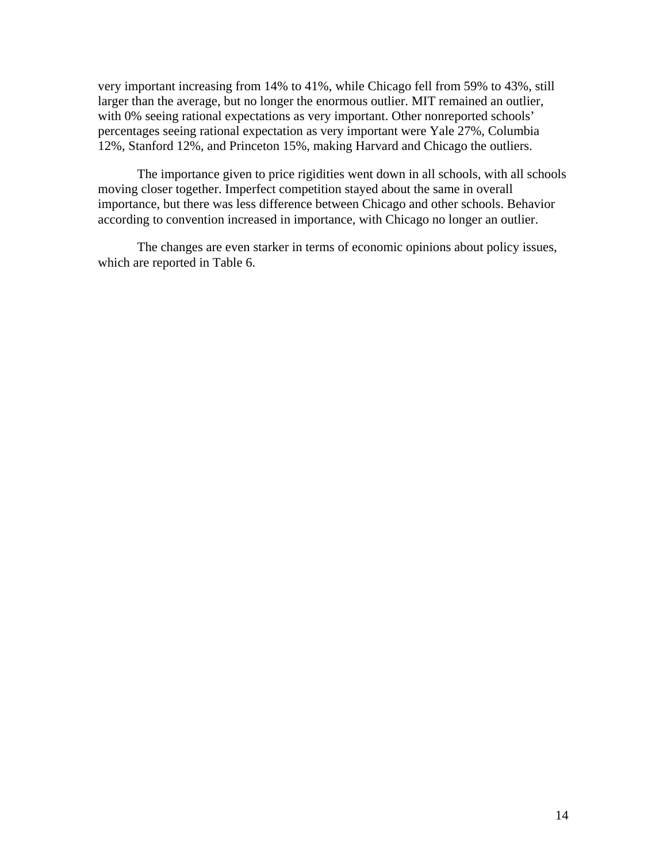very important increasing from 14% to 41%, while Chicago fell from 59% to 43%, still larger than the average, but no longer the enormous outlier. MIT remained an outlier, with 0% seeing rational expectations as very important. Other nonreported schools' percentages seeing rational expectation as very important were Yale 27%, Columbia 12%, Stanford 12%, and Princeton 15%, making Harvard and Chicago the outliers.

The importance given to price rigidities went down in all schools, with all schools moving closer together. Imperfect competition stayed about the same in overall importance, but there was less difference between Chicago and other schools. Behavior according to convention increased in importance, with Chicago no longer an outlier.

The changes are even starker in terms of economic opinions about policy issues, which are reported in Table 6.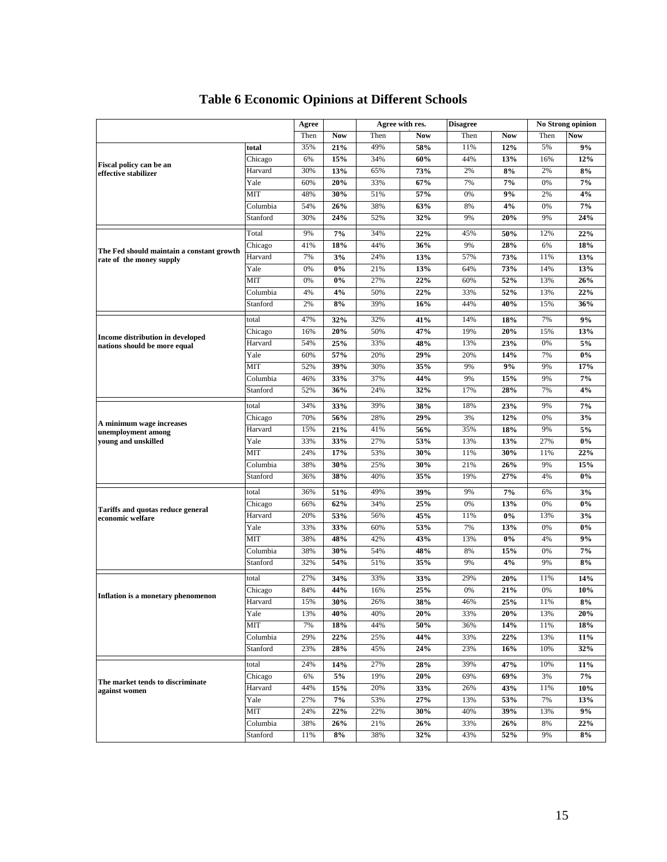| <b>Now</b><br>Then<br><b>Now</b><br>Then<br><b>Now</b><br>Then<br><b>Now</b><br>Then<br>35%<br>21%<br>49%<br>58%<br>11%<br>12%<br>5%<br>9%<br>total<br>6%<br>15%<br>34%<br>60%<br>44%<br>13%<br>16%<br>12%<br>Chicago<br>Fiscal policy can be an<br>73%<br>Harvard<br>30%<br>13%<br>65%<br>2%<br>8%<br>2%<br>8%<br>effective stabilizer<br>Yale<br>67%<br>7%<br>7%<br>60%<br>20%<br>33%<br>7%<br>0%<br>MIT<br>48%<br>30%<br>51%<br>57%<br>0%<br>9%<br>4%<br>2%<br>54%<br>Columbia<br>38%<br>8%<br>4%<br>0%<br>7%<br>26%<br>63%<br>52%<br>32%<br>Stanford<br>30%<br>24%<br>9%<br>20%<br>9%<br>24%<br>9%<br>7%<br>34%<br>22%<br>45%<br>50%<br>12%<br>22%<br>Total<br>44%<br>41%<br>9%<br>Chicago<br>18%<br>36%<br>28%<br>6%<br>18%<br>The Fed should maintain a constant growth<br>Harvard<br>7%<br>3%<br>24%<br>13%<br>57%<br>73%<br>11%<br>13%<br>rate of the money supply<br>Yale<br>0%<br>$0\%$<br>21%<br>73%<br>13%<br>13%<br>64%<br>14%<br>MIT<br>0%<br>$0\%$<br>27%<br>22%<br>52%<br>13%<br>60%<br>26%<br>4%<br>50%<br>22%<br>33%<br>52%<br>13%<br>22%<br>Columbia<br>4%<br>Stanford<br>2%<br>39%<br>44%<br>15%<br>8%<br>16%<br>40%<br>36%<br>47%<br>32%<br>41%<br>7%<br>9%<br>32%<br>14%<br>18%<br>total<br>20%<br>50%<br>47%<br>19%<br>20%<br>15%<br>13%<br>16%<br>Chicago<br>Income distribution in developed<br>Harvard<br>54%<br>33%<br>25%<br>48%<br>13%<br>23%<br>0%<br>5%<br>nations should be more equal<br>Yale<br>60%<br>57%<br>20%<br>29%<br>20%<br>14%<br>7%<br>$0\%$<br>MIT<br>39%<br>30%<br>35%<br>9%<br>17%<br>52%<br>9%<br>9%<br>33%<br>37%<br>44%<br>15%<br>9%<br>7%<br>Columbia<br>46%<br>9%<br>52%<br>36%<br>24%<br>32%<br>17%<br>28%<br>7%<br>4%<br>Stanford<br>34%<br>33%<br>39%<br>23%<br>9%<br>7%<br>total<br>38%<br>18%<br>70%<br>56%<br>28%<br>29%<br>3%<br>12%<br>0%<br>3%<br>Chicago<br>A minimum wage increases<br>15%<br>21%<br>41%<br>56%<br>35%<br>18%<br>9%<br>5%<br>Harvard<br>unemployment among<br>27%<br>27%<br>young and unskilled<br>Yale<br>33%<br>33%<br>53%<br>13%<br>$0\%$<br>13%<br>MIT<br>24%<br>17%<br>53%<br>30%<br>30%<br>22%<br>11%<br>11%<br>30%<br>25%<br>30%<br>15%<br>Columbia<br>38%<br>21%<br>26%<br>9%<br>40%<br>35%<br>19%<br>Stanford<br>36%<br>38%<br>27%<br>4%<br>$0\%$<br>51%<br>49%<br>39%<br>7%<br>3%<br>total<br>36%<br>9%<br>6%<br>62%<br>34%<br>25%<br>Chicago<br>66%<br>0%<br>13%<br>0%<br>0%<br>Tariffs and quotas reduce general<br>Harvard<br>53%<br>45%<br>0%<br>3%<br>20%<br>56%<br>11%<br>13%<br>economic welfare<br>33%<br>33%<br>53%<br>7%<br>13%<br>$0\%$<br>Yale<br>60%<br>0%<br>MIT<br>38%<br>42%<br>43%<br>13%<br>4%<br>9%<br>48%<br>0%<br>38%<br>30%<br>54%<br>48%<br>8%<br>15%<br>0%<br>7%<br>Columbia<br>54%<br>51%<br>35%<br>Stanford<br>32%<br>9%<br>4%<br>9%<br>8%<br>27%<br>33%<br>34%<br>29%<br>11%<br>total<br>33%<br>20%<br>14%<br>84%<br>44%<br>16%<br>25%<br>21%<br>0%<br>10%<br>0%<br>Chicago<br>Inflation is a monetary phenomenon<br>15%<br>30%<br>38%<br>25%<br>Harvard<br>26%<br>46%<br>11%<br>8%<br>Yale<br>13%<br>40%<br>40%<br>20%<br>33%<br>20%<br>13%<br>20%<br>MIT<br>7%<br>18%<br>44%<br>50%<br>14%<br>18%<br>36%<br>11%<br>25%<br>$\overline{\mathrm{C}}$ olumbia<br>29%<br>22%<br>44%<br>33%<br>22%<br>13%<br>11%<br>23%<br>28%<br>45%<br>24%<br>23%<br>16%<br>10%<br>32%<br>Stanford<br>14%<br>27%<br>28%<br>39%<br>47%<br>10%<br>11%<br>24%<br>total<br>6%<br>5%<br>19%<br>69%<br>3%<br>7%<br>Chicago<br>20%<br>69%<br>The market tends to discriminate<br>44%<br>15%<br>20%<br>33%<br>26%<br>43%<br>11%<br>Harvard<br>10%<br>against women<br>Yale<br>7%<br>27%<br>53%<br>27%<br>53%<br>13%<br>7%<br>13%<br>MIT<br>22%<br>30%<br>39%<br>24%<br>22%<br>40%<br>13%<br>9%<br>38%<br>21%<br>22%<br>Columbia<br>26%<br>26%<br>33%<br>26%<br>8%<br>Stanford<br>11%<br>38%<br>43%<br>52%<br>9%<br>8%<br>32%<br>8% |  | Agree | Agree with res. |  | <b>Disagree</b> |  | No Strong opinion |
|-----------------------------------------------------------------------------------------------------------------------------------------------------------------------------------------------------------------------------------------------------------------------------------------------------------------------------------------------------------------------------------------------------------------------------------------------------------------------------------------------------------------------------------------------------------------------------------------------------------------------------------------------------------------------------------------------------------------------------------------------------------------------------------------------------------------------------------------------------------------------------------------------------------------------------------------------------------------------------------------------------------------------------------------------------------------------------------------------------------------------------------------------------------------------------------------------------------------------------------------------------------------------------------------------------------------------------------------------------------------------------------------------------------------------------------------------------------------------------------------------------------------------------------------------------------------------------------------------------------------------------------------------------------------------------------------------------------------------------------------------------------------------------------------------------------------------------------------------------------------------------------------------------------------------------------------------------------------------------------------------------------------------------------------------------------------------------------------------------------------------------------------------------------------------------------------------------------------------------------------------------------------------------------------------------------------------------------------------------------------------------------------------------------------------------------------------------------------------------------------------------------------------------------------------------------------------------------------------------------------------------------------------------------------------------------------------------------------------------------------------------------------------------------------------------------------------------------------------------------------------------------------------------------------------------------------------------------------------------------------------------------------------------------------------------------------------------------------------------------------------------------------------------------------------------------------------------------------------------------------------------------------------------------------------------------------------------------------------------------------------------------------------------------------------------------------------------------------------------------------------------------------------------------------------------------------------------------------------------------------------------------------------------------------------------------------------------------------------------------------------------------------------------------------------------------------------------|--|-------|-----------------|--|-----------------|--|-------------------|
|                                                                                                                                                                                                                                                                                                                                                                                                                                                                                                                                                                                                                                                                                                                                                                                                                                                                                                                                                                                                                                                                                                                                                                                                                                                                                                                                                                                                                                                                                                                                                                                                                                                                                                                                                                                                                                                                                                                                                                                                                                                                                                                                                                                                                                                                                                                                                                                                                                                                                                                                                                                                                                                                                                                                                                                                                                                                                                                                                                                                                                                                                                                                                                                                                                                                                                                                                                                                                                                                                                                                                                                                                                                                                                                                                                                                                             |  |       |                 |  |                 |  |                   |
|                                                                                                                                                                                                                                                                                                                                                                                                                                                                                                                                                                                                                                                                                                                                                                                                                                                                                                                                                                                                                                                                                                                                                                                                                                                                                                                                                                                                                                                                                                                                                                                                                                                                                                                                                                                                                                                                                                                                                                                                                                                                                                                                                                                                                                                                                                                                                                                                                                                                                                                                                                                                                                                                                                                                                                                                                                                                                                                                                                                                                                                                                                                                                                                                                                                                                                                                                                                                                                                                                                                                                                                                                                                                                                                                                                                                                             |  |       |                 |  |                 |  |                   |
|                                                                                                                                                                                                                                                                                                                                                                                                                                                                                                                                                                                                                                                                                                                                                                                                                                                                                                                                                                                                                                                                                                                                                                                                                                                                                                                                                                                                                                                                                                                                                                                                                                                                                                                                                                                                                                                                                                                                                                                                                                                                                                                                                                                                                                                                                                                                                                                                                                                                                                                                                                                                                                                                                                                                                                                                                                                                                                                                                                                                                                                                                                                                                                                                                                                                                                                                                                                                                                                                                                                                                                                                                                                                                                                                                                                                                             |  |       |                 |  |                 |  |                   |
|                                                                                                                                                                                                                                                                                                                                                                                                                                                                                                                                                                                                                                                                                                                                                                                                                                                                                                                                                                                                                                                                                                                                                                                                                                                                                                                                                                                                                                                                                                                                                                                                                                                                                                                                                                                                                                                                                                                                                                                                                                                                                                                                                                                                                                                                                                                                                                                                                                                                                                                                                                                                                                                                                                                                                                                                                                                                                                                                                                                                                                                                                                                                                                                                                                                                                                                                                                                                                                                                                                                                                                                                                                                                                                                                                                                                                             |  |       |                 |  |                 |  |                   |
|                                                                                                                                                                                                                                                                                                                                                                                                                                                                                                                                                                                                                                                                                                                                                                                                                                                                                                                                                                                                                                                                                                                                                                                                                                                                                                                                                                                                                                                                                                                                                                                                                                                                                                                                                                                                                                                                                                                                                                                                                                                                                                                                                                                                                                                                                                                                                                                                                                                                                                                                                                                                                                                                                                                                                                                                                                                                                                                                                                                                                                                                                                                                                                                                                                                                                                                                                                                                                                                                                                                                                                                                                                                                                                                                                                                                                             |  |       |                 |  |                 |  |                   |
|                                                                                                                                                                                                                                                                                                                                                                                                                                                                                                                                                                                                                                                                                                                                                                                                                                                                                                                                                                                                                                                                                                                                                                                                                                                                                                                                                                                                                                                                                                                                                                                                                                                                                                                                                                                                                                                                                                                                                                                                                                                                                                                                                                                                                                                                                                                                                                                                                                                                                                                                                                                                                                                                                                                                                                                                                                                                                                                                                                                                                                                                                                                                                                                                                                                                                                                                                                                                                                                                                                                                                                                                                                                                                                                                                                                                                             |  |       |                 |  |                 |  |                   |
|                                                                                                                                                                                                                                                                                                                                                                                                                                                                                                                                                                                                                                                                                                                                                                                                                                                                                                                                                                                                                                                                                                                                                                                                                                                                                                                                                                                                                                                                                                                                                                                                                                                                                                                                                                                                                                                                                                                                                                                                                                                                                                                                                                                                                                                                                                                                                                                                                                                                                                                                                                                                                                                                                                                                                                                                                                                                                                                                                                                                                                                                                                                                                                                                                                                                                                                                                                                                                                                                                                                                                                                                                                                                                                                                                                                                                             |  |       |                 |  |                 |  |                   |
|                                                                                                                                                                                                                                                                                                                                                                                                                                                                                                                                                                                                                                                                                                                                                                                                                                                                                                                                                                                                                                                                                                                                                                                                                                                                                                                                                                                                                                                                                                                                                                                                                                                                                                                                                                                                                                                                                                                                                                                                                                                                                                                                                                                                                                                                                                                                                                                                                                                                                                                                                                                                                                                                                                                                                                                                                                                                                                                                                                                                                                                                                                                                                                                                                                                                                                                                                                                                                                                                                                                                                                                                                                                                                                                                                                                                                             |  |       |                 |  |                 |  |                   |
|                                                                                                                                                                                                                                                                                                                                                                                                                                                                                                                                                                                                                                                                                                                                                                                                                                                                                                                                                                                                                                                                                                                                                                                                                                                                                                                                                                                                                                                                                                                                                                                                                                                                                                                                                                                                                                                                                                                                                                                                                                                                                                                                                                                                                                                                                                                                                                                                                                                                                                                                                                                                                                                                                                                                                                                                                                                                                                                                                                                                                                                                                                                                                                                                                                                                                                                                                                                                                                                                                                                                                                                                                                                                                                                                                                                                                             |  |       |                 |  |                 |  |                   |
|                                                                                                                                                                                                                                                                                                                                                                                                                                                                                                                                                                                                                                                                                                                                                                                                                                                                                                                                                                                                                                                                                                                                                                                                                                                                                                                                                                                                                                                                                                                                                                                                                                                                                                                                                                                                                                                                                                                                                                                                                                                                                                                                                                                                                                                                                                                                                                                                                                                                                                                                                                                                                                                                                                                                                                                                                                                                                                                                                                                                                                                                                                                                                                                                                                                                                                                                                                                                                                                                                                                                                                                                                                                                                                                                                                                                                             |  |       |                 |  |                 |  |                   |
|                                                                                                                                                                                                                                                                                                                                                                                                                                                                                                                                                                                                                                                                                                                                                                                                                                                                                                                                                                                                                                                                                                                                                                                                                                                                                                                                                                                                                                                                                                                                                                                                                                                                                                                                                                                                                                                                                                                                                                                                                                                                                                                                                                                                                                                                                                                                                                                                                                                                                                                                                                                                                                                                                                                                                                                                                                                                                                                                                                                                                                                                                                                                                                                                                                                                                                                                                                                                                                                                                                                                                                                                                                                                                                                                                                                                                             |  |       |                 |  |                 |  |                   |
|                                                                                                                                                                                                                                                                                                                                                                                                                                                                                                                                                                                                                                                                                                                                                                                                                                                                                                                                                                                                                                                                                                                                                                                                                                                                                                                                                                                                                                                                                                                                                                                                                                                                                                                                                                                                                                                                                                                                                                                                                                                                                                                                                                                                                                                                                                                                                                                                                                                                                                                                                                                                                                                                                                                                                                                                                                                                                                                                                                                                                                                                                                                                                                                                                                                                                                                                                                                                                                                                                                                                                                                                                                                                                                                                                                                                                             |  |       |                 |  |                 |  |                   |
|                                                                                                                                                                                                                                                                                                                                                                                                                                                                                                                                                                                                                                                                                                                                                                                                                                                                                                                                                                                                                                                                                                                                                                                                                                                                                                                                                                                                                                                                                                                                                                                                                                                                                                                                                                                                                                                                                                                                                                                                                                                                                                                                                                                                                                                                                                                                                                                                                                                                                                                                                                                                                                                                                                                                                                                                                                                                                                                                                                                                                                                                                                                                                                                                                                                                                                                                                                                                                                                                                                                                                                                                                                                                                                                                                                                                                             |  |       |                 |  |                 |  |                   |
|                                                                                                                                                                                                                                                                                                                                                                                                                                                                                                                                                                                                                                                                                                                                                                                                                                                                                                                                                                                                                                                                                                                                                                                                                                                                                                                                                                                                                                                                                                                                                                                                                                                                                                                                                                                                                                                                                                                                                                                                                                                                                                                                                                                                                                                                                                                                                                                                                                                                                                                                                                                                                                                                                                                                                                                                                                                                                                                                                                                                                                                                                                                                                                                                                                                                                                                                                                                                                                                                                                                                                                                                                                                                                                                                                                                                                             |  |       |                 |  |                 |  |                   |
|                                                                                                                                                                                                                                                                                                                                                                                                                                                                                                                                                                                                                                                                                                                                                                                                                                                                                                                                                                                                                                                                                                                                                                                                                                                                                                                                                                                                                                                                                                                                                                                                                                                                                                                                                                                                                                                                                                                                                                                                                                                                                                                                                                                                                                                                                                                                                                                                                                                                                                                                                                                                                                                                                                                                                                                                                                                                                                                                                                                                                                                                                                                                                                                                                                                                                                                                                                                                                                                                                                                                                                                                                                                                                                                                                                                                                             |  |       |                 |  |                 |  |                   |
|                                                                                                                                                                                                                                                                                                                                                                                                                                                                                                                                                                                                                                                                                                                                                                                                                                                                                                                                                                                                                                                                                                                                                                                                                                                                                                                                                                                                                                                                                                                                                                                                                                                                                                                                                                                                                                                                                                                                                                                                                                                                                                                                                                                                                                                                                                                                                                                                                                                                                                                                                                                                                                                                                                                                                                                                                                                                                                                                                                                                                                                                                                                                                                                                                                                                                                                                                                                                                                                                                                                                                                                                                                                                                                                                                                                                                             |  |       |                 |  |                 |  |                   |
|                                                                                                                                                                                                                                                                                                                                                                                                                                                                                                                                                                                                                                                                                                                                                                                                                                                                                                                                                                                                                                                                                                                                                                                                                                                                                                                                                                                                                                                                                                                                                                                                                                                                                                                                                                                                                                                                                                                                                                                                                                                                                                                                                                                                                                                                                                                                                                                                                                                                                                                                                                                                                                                                                                                                                                                                                                                                                                                                                                                                                                                                                                                                                                                                                                                                                                                                                                                                                                                                                                                                                                                                                                                                                                                                                                                                                             |  |       |                 |  |                 |  |                   |
|                                                                                                                                                                                                                                                                                                                                                                                                                                                                                                                                                                                                                                                                                                                                                                                                                                                                                                                                                                                                                                                                                                                                                                                                                                                                                                                                                                                                                                                                                                                                                                                                                                                                                                                                                                                                                                                                                                                                                                                                                                                                                                                                                                                                                                                                                                                                                                                                                                                                                                                                                                                                                                                                                                                                                                                                                                                                                                                                                                                                                                                                                                                                                                                                                                                                                                                                                                                                                                                                                                                                                                                                                                                                                                                                                                                                                             |  |       |                 |  |                 |  |                   |
|                                                                                                                                                                                                                                                                                                                                                                                                                                                                                                                                                                                                                                                                                                                                                                                                                                                                                                                                                                                                                                                                                                                                                                                                                                                                                                                                                                                                                                                                                                                                                                                                                                                                                                                                                                                                                                                                                                                                                                                                                                                                                                                                                                                                                                                                                                                                                                                                                                                                                                                                                                                                                                                                                                                                                                                                                                                                                                                                                                                                                                                                                                                                                                                                                                                                                                                                                                                                                                                                                                                                                                                                                                                                                                                                                                                                                             |  |       |                 |  |                 |  |                   |
|                                                                                                                                                                                                                                                                                                                                                                                                                                                                                                                                                                                                                                                                                                                                                                                                                                                                                                                                                                                                                                                                                                                                                                                                                                                                                                                                                                                                                                                                                                                                                                                                                                                                                                                                                                                                                                                                                                                                                                                                                                                                                                                                                                                                                                                                                                                                                                                                                                                                                                                                                                                                                                                                                                                                                                                                                                                                                                                                                                                                                                                                                                                                                                                                                                                                                                                                                                                                                                                                                                                                                                                                                                                                                                                                                                                                                             |  |       |                 |  |                 |  |                   |
|                                                                                                                                                                                                                                                                                                                                                                                                                                                                                                                                                                                                                                                                                                                                                                                                                                                                                                                                                                                                                                                                                                                                                                                                                                                                                                                                                                                                                                                                                                                                                                                                                                                                                                                                                                                                                                                                                                                                                                                                                                                                                                                                                                                                                                                                                                                                                                                                                                                                                                                                                                                                                                                                                                                                                                                                                                                                                                                                                                                                                                                                                                                                                                                                                                                                                                                                                                                                                                                                                                                                                                                                                                                                                                                                                                                                                             |  |       |                 |  |                 |  |                   |
|                                                                                                                                                                                                                                                                                                                                                                                                                                                                                                                                                                                                                                                                                                                                                                                                                                                                                                                                                                                                                                                                                                                                                                                                                                                                                                                                                                                                                                                                                                                                                                                                                                                                                                                                                                                                                                                                                                                                                                                                                                                                                                                                                                                                                                                                                                                                                                                                                                                                                                                                                                                                                                                                                                                                                                                                                                                                                                                                                                                                                                                                                                                                                                                                                                                                                                                                                                                                                                                                                                                                                                                                                                                                                                                                                                                                                             |  |       |                 |  |                 |  |                   |
|                                                                                                                                                                                                                                                                                                                                                                                                                                                                                                                                                                                                                                                                                                                                                                                                                                                                                                                                                                                                                                                                                                                                                                                                                                                                                                                                                                                                                                                                                                                                                                                                                                                                                                                                                                                                                                                                                                                                                                                                                                                                                                                                                                                                                                                                                                                                                                                                                                                                                                                                                                                                                                                                                                                                                                                                                                                                                                                                                                                                                                                                                                                                                                                                                                                                                                                                                                                                                                                                                                                                                                                                                                                                                                                                                                                                                             |  |       |                 |  |                 |  |                   |
|                                                                                                                                                                                                                                                                                                                                                                                                                                                                                                                                                                                                                                                                                                                                                                                                                                                                                                                                                                                                                                                                                                                                                                                                                                                                                                                                                                                                                                                                                                                                                                                                                                                                                                                                                                                                                                                                                                                                                                                                                                                                                                                                                                                                                                                                                                                                                                                                                                                                                                                                                                                                                                                                                                                                                                                                                                                                                                                                                                                                                                                                                                                                                                                                                                                                                                                                                                                                                                                                                                                                                                                                                                                                                                                                                                                                                             |  |       |                 |  |                 |  |                   |
|                                                                                                                                                                                                                                                                                                                                                                                                                                                                                                                                                                                                                                                                                                                                                                                                                                                                                                                                                                                                                                                                                                                                                                                                                                                                                                                                                                                                                                                                                                                                                                                                                                                                                                                                                                                                                                                                                                                                                                                                                                                                                                                                                                                                                                                                                                                                                                                                                                                                                                                                                                                                                                                                                                                                                                                                                                                                                                                                                                                                                                                                                                                                                                                                                                                                                                                                                                                                                                                                                                                                                                                                                                                                                                                                                                                                                             |  |       |                 |  |                 |  |                   |
|                                                                                                                                                                                                                                                                                                                                                                                                                                                                                                                                                                                                                                                                                                                                                                                                                                                                                                                                                                                                                                                                                                                                                                                                                                                                                                                                                                                                                                                                                                                                                                                                                                                                                                                                                                                                                                                                                                                                                                                                                                                                                                                                                                                                                                                                                                                                                                                                                                                                                                                                                                                                                                                                                                                                                                                                                                                                                                                                                                                                                                                                                                                                                                                                                                                                                                                                                                                                                                                                                                                                                                                                                                                                                                                                                                                                                             |  |       |                 |  |                 |  |                   |
|                                                                                                                                                                                                                                                                                                                                                                                                                                                                                                                                                                                                                                                                                                                                                                                                                                                                                                                                                                                                                                                                                                                                                                                                                                                                                                                                                                                                                                                                                                                                                                                                                                                                                                                                                                                                                                                                                                                                                                                                                                                                                                                                                                                                                                                                                                                                                                                                                                                                                                                                                                                                                                                                                                                                                                                                                                                                                                                                                                                                                                                                                                                                                                                                                                                                                                                                                                                                                                                                                                                                                                                                                                                                                                                                                                                                                             |  |       |                 |  |                 |  |                   |
|                                                                                                                                                                                                                                                                                                                                                                                                                                                                                                                                                                                                                                                                                                                                                                                                                                                                                                                                                                                                                                                                                                                                                                                                                                                                                                                                                                                                                                                                                                                                                                                                                                                                                                                                                                                                                                                                                                                                                                                                                                                                                                                                                                                                                                                                                                                                                                                                                                                                                                                                                                                                                                                                                                                                                                                                                                                                                                                                                                                                                                                                                                                                                                                                                                                                                                                                                                                                                                                                                                                                                                                                                                                                                                                                                                                                                             |  |       |                 |  |                 |  |                   |
|                                                                                                                                                                                                                                                                                                                                                                                                                                                                                                                                                                                                                                                                                                                                                                                                                                                                                                                                                                                                                                                                                                                                                                                                                                                                                                                                                                                                                                                                                                                                                                                                                                                                                                                                                                                                                                                                                                                                                                                                                                                                                                                                                                                                                                                                                                                                                                                                                                                                                                                                                                                                                                                                                                                                                                                                                                                                                                                                                                                                                                                                                                                                                                                                                                                                                                                                                                                                                                                                                                                                                                                                                                                                                                                                                                                                                             |  |       |                 |  |                 |  |                   |
|                                                                                                                                                                                                                                                                                                                                                                                                                                                                                                                                                                                                                                                                                                                                                                                                                                                                                                                                                                                                                                                                                                                                                                                                                                                                                                                                                                                                                                                                                                                                                                                                                                                                                                                                                                                                                                                                                                                                                                                                                                                                                                                                                                                                                                                                                                                                                                                                                                                                                                                                                                                                                                                                                                                                                                                                                                                                                                                                                                                                                                                                                                                                                                                                                                                                                                                                                                                                                                                                                                                                                                                                                                                                                                                                                                                                                             |  |       |                 |  |                 |  |                   |
|                                                                                                                                                                                                                                                                                                                                                                                                                                                                                                                                                                                                                                                                                                                                                                                                                                                                                                                                                                                                                                                                                                                                                                                                                                                                                                                                                                                                                                                                                                                                                                                                                                                                                                                                                                                                                                                                                                                                                                                                                                                                                                                                                                                                                                                                                                                                                                                                                                                                                                                                                                                                                                                                                                                                                                                                                                                                                                                                                                                                                                                                                                                                                                                                                                                                                                                                                                                                                                                                                                                                                                                                                                                                                                                                                                                                                             |  |       |                 |  |                 |  |                   |
|                                                                                                                                                                                                                                                                                                                                                                                                                                                                                                                                                                                                                                                                                                                                                                                                                                                                                                                                                                                                                                                                                                                                                                                                                                                                                                                                                                                                                                                                                                                                                                                                                                                                                                                                                                                                                                                                                                                                                                                                                                                                                                                                                                                                                                                                                                                                                                                                                                                                                                                                                                                                                                                                                                                                                                                                                                                                                                                                                                                                                                                                                                                                                                                                                                                                                                                                                                                                                                                                                                                                                                                                                                                                                                                                                                                                                             |  |       |                 |  |                 |  |                   |
|                                                                                                                                                                                                                                                                                                                                                                                                                                                                                                                                                                                                                                                                                                                                                                                                                                                                                                                                                                                                                                                                                                                                                                                                                                                                                                                                                                                                                                                                                                                                                                                                                                                                                                                                                                                                                                                                                                                                                                                                                                                                                                                                                                                                                                                                                                                                                                                                                                                                                                                                                                                                                                                                                                                                                                                                                                                                                                                                                                                                                                                                                                                                                                                                                                                                                                                                                                                                                                                                                                                                                                                                                                                                                                                                                                                                                             |  |       |                 |  |                 |  |                   |
|                                                                                                                                                                                                                                                                                                                                                                                                                                                                                                                                                                                                                                                                                                                                                                                                                                                                                                                                                                                                                                                                                                                                                                                                                                                                                                                                                                                                                                                                                                                                                                                                                                                                                                                                                                                                                                                                                                                                                                                                                                                                                                                                                                                                                                                                                                                                                                                                                                                                                                                                                                                                                                                                                                                                                                                                                                                                                                                                                                                                                                                                                                                                                                                                                                                                                                                                                                                                                                                                                                                                                                                                                                                                                                                                                                                                                             |  |       |                 |  |                 |  |                   |
|                                                                                                                                                                                                                                                                                                                                                                                                                                                                                                                                                                                                                                                                                                                                                                                                                                                                                                                                                                                                                                                                                                                                                                                                                                                                                                                                                                                                                                                                                                                                                                                                                                                                                                                                                                                                                                                                                                                                                                                                                                                                                                                                                                                                                                                                                                                                                                                                                                                                                                                                                                                                                                                                                                                                                                                                                                                                                                                                                                                                                                                                                                                                                                                                                                                                                                                                                                                                                                                                                                                                                                                                                                                                                                                                                                                                                             |  |       |                 |  |                 |  |                   |
|                                                                                                                                                                                                                                                                                                                                                                                                                                                                                                                                                                                                                                                                                                                                                                                                                                                                                                                                                                                                                                                                                                                                                                                                                                                                                                                                                                                                                                                                                                                                                                                                                                                                                                                                                                                                                                                                                                                                                                                                                                                                                                                                                                                                                                                                                                                                                                                                                                                                                                                                                                                                                                                                                                                                                                                                                                                                                                                                                                                                                                                                                                                                                                                                                                                                                                                                                                                                                                                                                                                                                                                                                                                                                                                                                                                                                             |  |       |                 |  |                 |  |                   |
|                                                                                                                                                                                                                                                                                                                                                                                                                                                                                                                                                                                                                                                                                                                                                                                                                                                                                                                                                                                                                                                                                                                                                                                                                                                                                                                                                                                                                                                                                                                                                                                                                                                                                                                                                                                                                                                                                                                                                                                                                                                                                                                                                                                                                                                                                                                                                                                                                                                                                                                                                                                                                                                                                                                                                                                                                                                                                                                                                                                                                                                                                                                                                                                                                                                                                                                                                                                                                                                                                                                                                                                                                                                                                                                                                                                                                             |  |       |                 |  |                 |  |                   |
|                                                                                                                                                                                                                                                                                                                                                                                                                                                                                                                                                                                                                                                                                                                                                                                                                                                                                                                                                                                                                                                                                                                                                                                                                                                                                                                                                                                                                                                                                                                                                                                                                                                                                                                                                                                                                                                                                                                                                                                                                                                                                                                                                                                                                                                                                                                                                                                                                                                                                                                                                                                                                                                                                                                                                                                                                                                                                                                                                                                                                                                                                                                                                                                                                                                                                                                                                                                                                                                                                                                                                                                                                                                                                                                                                                                                                             |  |       |                 |  |                 |  |                   |
|                                                                                                                                                                                                                                                                                                                                                                                                                                                                                                                                                                                                                                                                                                                                                                                                                                                                                                                                                                                                                                                                                                                                                                                                                                                                                                                                                                                                                                                                                                                                                                                                                                                                                                                                                                                                                                                                                                                                                                                                                                                                                                                                                                                                                                                                                                                                                                                                                                                                                                                                                                                                                                                                                                                                                                                                                                                                                                                                                                                                                                                                                                                                                                                                                                                                                                                                                                                                                                                                                                                                                                                                                                                                                                                                                                                                                             |  |       |                 |  |                 |  |                   |
|                                                                                                                                                                                                                                                                                                                                                                                                                                                                                                                                                                                                                                                                                                                                                                                                                                                                                                                                                                                                                                                                                                                                                                                                                                                                                                                                                                                                                                                                                                                                                                                                                                                                                                                                                                                                                                                                                                                                                                                                                                                                                                                                                                                                                                                                                                                                                                                                                                                                                                                                                                                                                                                                                                                                                                                                                                                                                                                                                                                                                                                                                                                                                                                                                                                                                                                                                                                                                                                                                                                                                                                                                                                                                                                                                                                                                             |  |       |                 |  |                 |  |                   |
|                                                                                                                                                                                                                                                                                                                                                                                                                                                                                                                                                                                                                                                                                                                                                                                                                                                                                                                                                                                                                                                                                                                                                                                                                                                                                                                                                                                                                                                                                                                                                                                                                                                                                                                                                                                                                                                                                                                                                                                                                                                                                                                                                                                                                                                                                                                                                                                                                                                                                                                                                                                                                                                                                                                                                                                                                                                                                                                                                                                                                                                                                                                                                                                                                                                                                                                                                                                                                                                                                                                                                                                                                                                                                                                                                                                                                             |  |       |                 |  |                 |  |                   |
|                                                                                                                                                                                                                                                                                                                                                                                                                                                                                                                                                                                                                                                                                                                                                                                                                                                                                                                                                                                                                                                                                                                                                                                                                                                                                                                                                                                                                                                                                                                                                                                                                                                                                                                                                                                                                                                                                                                                                                                                                                                                                                                                                                                                                                                                                                                                                                                                                                                                                                                                                                                                                                                                                                                                                                                                                                                                                                                                                                                                                                                                                                                                                                                                                                                                                                                                                                                                                                                                                                                                                                                                                                                                                                                                                                                                                             |  |       |                 |  |                 |  |                   |
|                                                                                                                                                                                                                                                                                                                                                                                                                                                                                                                                                                                                                                                                                                                                                                                                                                                                                                                                                                                                                                                                                                                                                                                                                                                                                                                                                                                                                                                                                                                                                                                                                                                                                                                                                                                                                                                                                                                                                                                                                                                                                                                                                                                                                                                                                                                                                                                                                                                                                                                                                                                                                                                                                                                                                                                                                                                                                                                                                                                                                                                                                                                                                                                                                                                                                                                                                                                                                                                                                                                                                                                                                                                                                                                                                                                                                             |  |       |                 |  |                 |  |                   |
|                                                                                                                                                                                                                                                                                                                                                                                                                                                                                                                                                                                                                                                                                                                                                                                                                                                                                                                                                                                                                                                                                                                                                                                                                                                                                                                                                                                                                                                                                                                                                                                                                                                                                                                                                                                                                                                                                                                                                                                                                                                                                                                                                                                                                                                                                                                                                                                                                                                                                                                                                                                                                                                                                                                                                                                                                                                                                                                                                                                                                                                                                                                                                                                                                                                                                                                                                                                                                                                                                                                                                                                                                                                                                                                                                                                                                             |  |       |                 |  |                 |  |                   |
|                                                                                                                                                                                                                                                                                                                                                                                                                                                                                                                                                                                                                                                                                                                                                                                                                                                                                                                                                                                                                                                                                                                                                                                                                                                                                                                                                                                                                                                                                                                                                                                                                                                                                                                                                                                                                                                                                                                                                                                                                                                                                                                                                                                                                                                                                                                                                                                                                                                                                                                                                                                                                                                                                                                                                                                                                                                                                                                                                                                                                                                                                                                                                                                                                                                                                                                                                                                                                                                                                                                                                                                                                                                                                                                                                                                                                             |  |       |                 |  |                 |  |                   |
|                                                                                                                                                                                                                                                                                                                                                                                                                                                                                                                                                                                                                                                                                                                                                                                                                                                                                                                                                                                                                                                                                                                                                                                                                                                                                                                                                                                                                                                                                                                                                                                                                                                                                                                                                                                                                                                                                                                                                                                                                                                                                                                                                                                                                                                                                                                                                                                                                                                                                                                                                                                                                                                                                                                                                                                                                                                                                                                                                                                                                                                                                                                                                                                                                                                                                                                                                                                                                                                                                                                                                                                                                                                                                                                                                                                                                             |  |       |                 |  |                 |  |                   |
|                                                                                                                                                                                                                                                                                                                                                                                                                                                                                                                                                                                                                                                                                                                                                                                                                                                                                                                                                                                                                                                                                                                                                                                                                                                                                                                                                                                                                                                                                                                                                                                                                                                                                                                                                                                                                                                                                                                                                                                                                                                                                                                                                                                                                                                                                                                                                                                                                                                                                                                                                                                                                                                                                                                                                                                                                                                                                                                                                                                                                                                                                                                                                                                                                                                                                                                                                                                                                                                                                                                                                                                                                                                                                                                                                                                                                             |  |       |                 |  |                 |  |                   |
|                                                                                                                                                                                                                                                                                                                                                                                                                                                                                                                                                                                                                                                                                                                                                                                                                                                                                                                                                                                                                                                                                                                                                                                                                                                                                                                                                                                                                                                                                                                                                                                                                                                                                                                                                                                                                                                                                                                                                                                                                                                                                                                                                                                                                                                                                                                                                                                                                                                                                                                                                                                                                                                                                                                                                                                                                                                                                                                                                                                                                                                                                                                                                                                                                                                                                                                                                                                                                                                                                                                                                                                                                                                                                                                                                                                                                             |  |       |                 |  |                 |  |                   |
|                                                                                                                                                                                                                                                                                                                                                                                                                                                                                                                                                                                                                                                                                                                                                                                                                                                                                                                                                                                                                                                                                                                                                                                                                                                                                                                                                                                                                                                                                                                                                                                                                                                                                                                                                                                                                                                                                                                                                                                                                                                                                                                                                                                                                                                                                                                                                                                                                                                                                                                                                                                                                                                                                                                                                                                                                                                                                                                                                                                                                                                                                                                                                                                                                                                                                                                                                                                                                                                                                                                                                                                                                                                                                                                                                                                                                             |  |       |                 |  |                 |  |                   |
|                                                                                                                                                                                                                                                                                                                                                                                                                                                                                                                                                                                                                                                                                                                                                                                                                                                                                                                                                                                                                                                                                                                                                                                                                                                                                                                                                                                                                                                                                                                                                                                                                                                                                                                                                                                                                                                                                                                                                                                                                                                                                                                                                                                                                                                                                                                                                                                                                                                                                                                                                                                                                                                                                                                                                                                                                                                                                                                                                                                                                                                                                                                                                                                                                                                                                                                                                                                                                                                                                                                                                                                                                                                                                                                                                                                                                             |  |       |                 |  |                 |  |                   |

# **Table 6 Economic Opinions at Different Schools**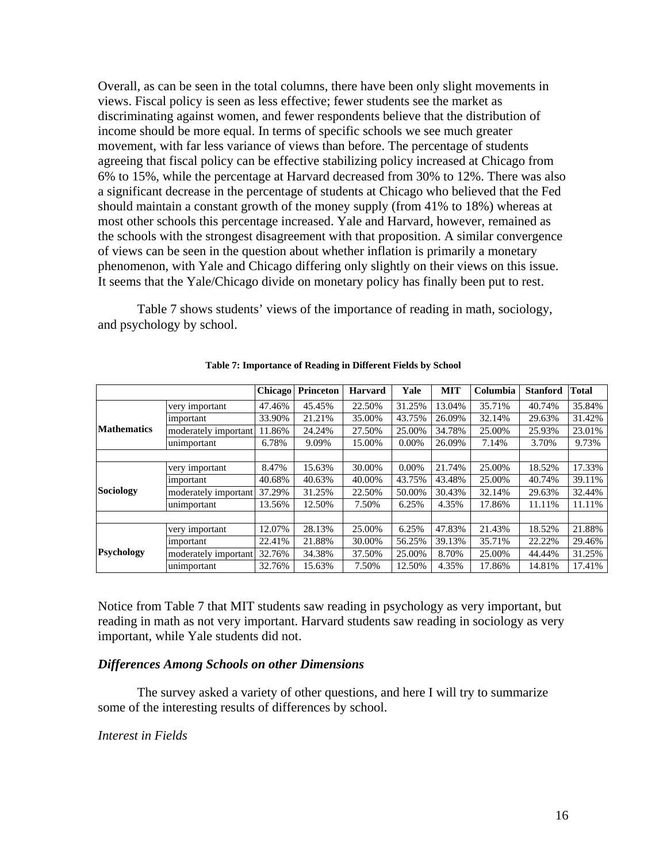Overall, as can be seen in the total columns, there have been only slight movements in views. Fiscal policy is seen as less effective; fewer students see the market as discriminating against women, and fewer respondents believe that the distribution of income should be more equal. In terms of specific schools we see much greater movement, with far less variance of views than before. The percentage of students agreeing that fiscal policy can be effective stabilizing policy increased at Chicago from 6% to 15%, while the percentage at Harvard decreased from 30% to 12%. There was also a significant decrease in the percentage of students at Chicago who believed that the Fed should maintain a constant growth of the money supply (from 41% to 18%) whereas at most other schools this percentage increased. Yale and Harvard, however, remained as the schools with the strongest disagreement with that proposition. A similar convergence of views can be seen in the question about whether inflation is primarily a monetary phenomenon, with Yale and Chicago differing only slightly on their views on this issue. It seems that the Yale/Chicago divide on monetary policy has finally been put to rest.

Table 7 shows students' views of the importance of reading in math, sociology, and psychology by school.

|                    |                      | Chicago | <b>Princeton</b> | Harvard | Yale   | <b>MIT</b> | Columbia | <b>Stanford</b> | <b>Total</b> |
|--------------------|----------------------|---------|------------------|---------|--------|------------|----------|-----------------|--------------|
|                    | very important       | 47.46%  | 45.45%           | 22.50%  | 31.25% | 13.04%     | 35.71%   | 40.74%          | 35.84%       |
|                    | important            | 33.90%  | 21.21%           | 35.00%  | 43.75% | 26.09%     | 32.14%   | 29.63%          | 31.42%       |
| <b>Mathematics</b> | moderately important | 11.86%  | 24.24%           | 27.50%  | 25.00% | 34.78%     | 25.00%   | 25.93%          | 23.01%       |
|                    | unimportant          | 6.78%   | 9.09%            | 15.00%  | 0.00%  | 26.09%     | 7.14%    | 3.70%           | 9.73%        |
|                    |                      |         |                  |         |        |            |          |                 |              |
|                    | very important       | 8.47%   | 15.63%           | 30.00%  | 0.00%  | 21.74%     | 25.00%   | 18.52%          | 17.33%       |
|                    | important            | 40.68%  | 40.63%           | 40.00%  | 43.75% | 43.48%     | 25.00%   | 40.74%          | 39.11%       |
| Sociology          | moderately important | 37.29%  | 31.25%           | 22.50%  | 50.00% | 30.43%     | 32.14%   | 29.63%          | 32.44%       |
|                    | unimportant          | 13.56%  | 12.50%           | 7.50%   | 6.25%  | 4.35%      | 17.86%   | 11.11%          | 11.11%       |
|                    |                      |         |                  |         |        |            |          |                 |              |
|                    | very important       | 12.07%  | 28.13%           | 25.00%  | 6.25%  | 47.83%     | 21.43%   | 18.52%          | 21.88%       |
|                    | important            | 22.41%  | 21.88%           | 30.00%  | 56.25% | 39.13%     | 35.71%   | 22.22%          | 29.46%       |
| <b>Psychology</b>  | moderately important | 32.76%  | 34.38%           | 37.50%  | 25.00% | 8.70%      | 25.00%   | 44.44%          | 31.25%       |
|                    | unimportant          | 32.76%  | 15.63%           | 7.50%   | 12.50% | 4.35%      | 17.86%   | 14.81%          | 17.41%       |

**Table 7: Importance of Reading in Different Fields by School** 

Notice from Table 7 that MIT students saw reading in psychology as very important, but reading in math as not very important. Harvard students saw reading in sociology as very important, while Yale students did not.

# *Differences Among Schools on other Dimensions*

The survey asked a variety of other questions, and here I will try to summarize some of the interesting results of differences by school.

# *Interest in Fields*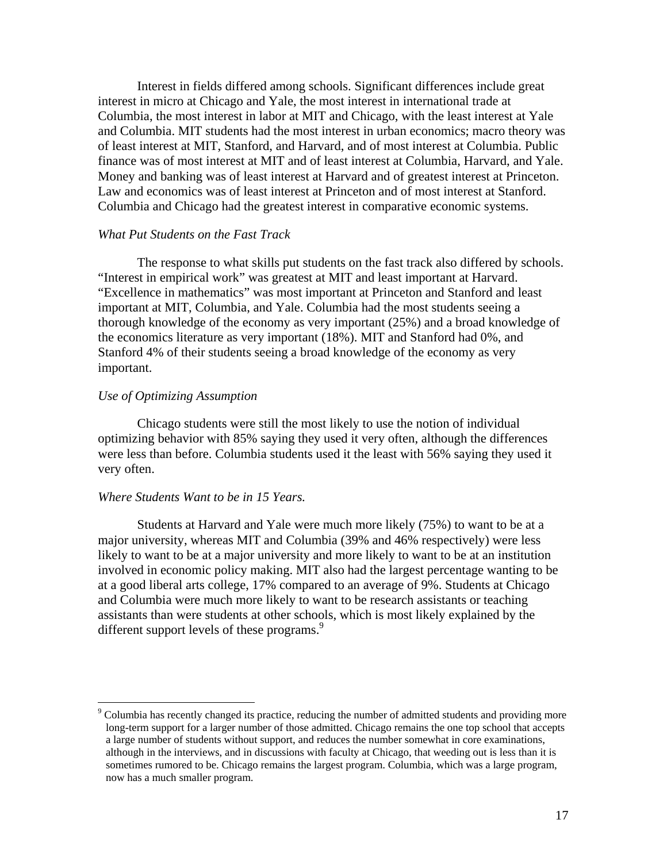Interest in fields differed among schools. Significant differences include great interest in micro at Chicago and Yale, the most interest in international trade at Columbia, the most interest in labor at MIT and Chicago, with the least interest at Yale and Columbia. MIT students had the most interest in urban economics; macro theory was of least interest at MIT, Stanford, and Harvard, and of most interest at Columbia. Public finance was of most interest at MIT and of least interest at Columbia, Harvard, and Yale. Money and banking was of least interest at Harvard and of greatest interest at Princeton. Law and economics was of least interest at Princeton and of most interest at Stanford. Columbia and Chicago had the greatest interest in comparative economic systems.

# *What Put Students on the Fast Track*

The response to what skills put students on the fast track also differed by schools. "Interest in empirical work" was greatest at MIT and least important at Harvard. "Excellence in mathematics" was most important at Princeton and Stanford and least important at MIT, Columbia, and Yale. Columbia had the most students seeing a thorough knowledge of the economy as very important (25%) and a broad knowledge of the economics literature as very important (18%). MIT and Stanford had 0%, and Stanford 4% of their students seeing a broad knowledge of the economy as very important.

### *Use of Optimizing Assumption*

 $\overline{a}$ 

Chicago students were still the most likely to use the notion of individual optimizing behavior with 85% saying they used it very often, although the differences were less than before. Columbia students used it the least with 56% saying they used it very often.

### *Where Students Want to be in 15 Years.*

Students at Harvard and Yale were much more likely (75%) to want to be at a major university, whereas MIT and Columbia (39% and 46% respectively) were less likely to want to be at a major university and more likely to want to be at an institution involved in economic policy making. MIT also had the largest percentage wanting to be at a good liberal arts college, 17% compared to an average of 9%. Students at Chicago and Columbia were much more likely to want to be research assistants or teaching assistants than were students at other schools, which is most likely explained by the different support levels of these programs[.](#page-17-0)<sup>9</sup>

<span id="page-17-0"></span><sup>&</sup>lt;sup>9</sup> Columbia has recently changed its practice, reducing the number of admitted students and providing more long-term support for a larger number of those admitted. Chicago remains the one top school that accepts a large number of students without support, and reduces the number somewhat in core examinations, although in the interviews, and in discussions with faculty at Chicago, that weeding out is less than it is sometimes rumored to be. Chicago remains the largest program. Columbia, which was a large program, now has a much smaller program.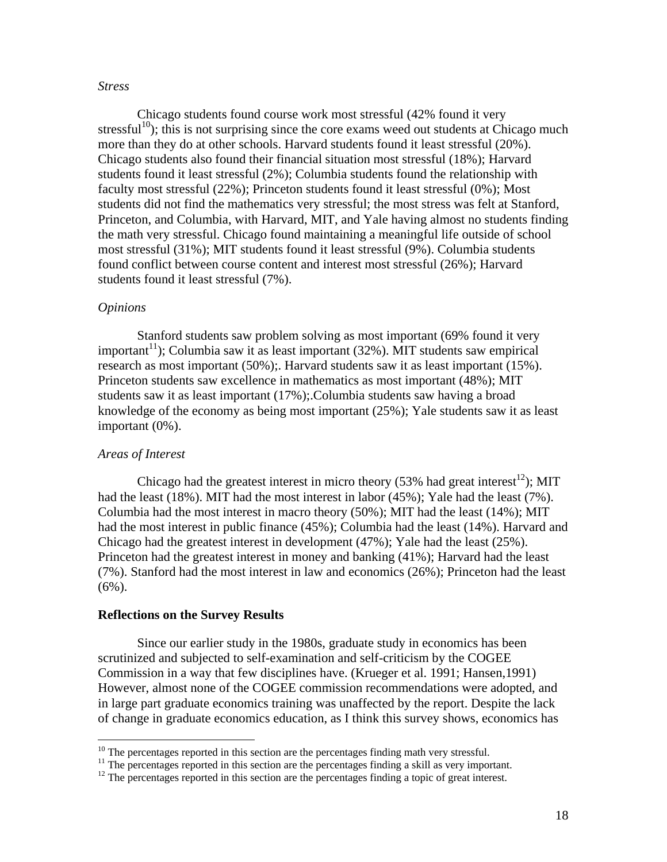### *Stress*

Chicago students found course work most stressful (42% found it very stressful<sup>10</sup>); this is not surprising since the core exams weed out students at Chicago much more th[an](#page-18-0) they do at other schools. Harvard students found it least stressful (20%). Chicago students also found their financial situation most stressful (18%); Harvard students found it least stressful (2%); Columbia students found the relationship with faculty most stressful (22%); Princeton students found it least stressful (0%); Most students did not find the mathematics very stressful; the most stress was felt at Stanford, Princeton, and Columbia, with Harvard, MIT, and Yale having almost no students finding the math very stressful. Chicago found maintaining a meaningful life outside of school most stressful (31%); MIT students found it least stressful (9%). Columbia students found conflict between course content and interest most stressful (26%); Harvard students found it least stressful (7%).

#### *Opinions*

Stanford students saw problem solving as most important (69% found it very important<sup>11</sup>); Columbia saw it as least important (32%). MIT students saw empirical research [as m](#page-18-1)ost important (50%);. Harvard students saw it as least important (15%). Princeton students saw excellence in mathematics as most important (48%); MIT students saw it as least important (17%);.Columbia students saw having a broad knowledge of the economy as being most important (25%); Yale students saw it as least important (0%).

#### *Areas of Interest*

1

Chicago had the greatest interest in micro theory (53% had great interest<sup>12</sup>); MIT had the least (18%). MIT had the most interest in labor (45%); Yale had the least (7%). Columbia had the most interest in macro theory (50%); MIT had the least (14%); MIT had the most interest in public finance (45%); Columbia had the least (14%). Harvard and Chicago had the greatest interest in development (47%); Yale had the least (25%). Princeton had the greatest interest in money and banking (41%); Harvard had the least (7%). Stanford had the most interest in law and economics (26%); Princeton had the least  $(6\%)$ .

### **Reflections on the Survey Results**

Since our earlier study in the 1980s, graduate study in economics has been scrutinized and subjected to self-examination and self-criticism by the COGEE Commission in a way that few disciplines have. (Krueger et al. 1991; Hansen,1991) However, almost none of the COGEE commission recommendations were adopted, and in large part graduate economics training was unaffected by the report. Despite the lack of change in graduate economics education, as I think this survey shows, economics has

<span id="page-18-1"></span><span id="page-18-0"></span>

<sup>&</sup>lt;sup>10</sup> The percentages reported in this section are the percentages finding math very stressful.<br><sup>11</sup> The percentages reported in this section are the percentages finding a skill as very important.<br><sup>12</sup> The percentages repo

<span id="page-18-2"></span>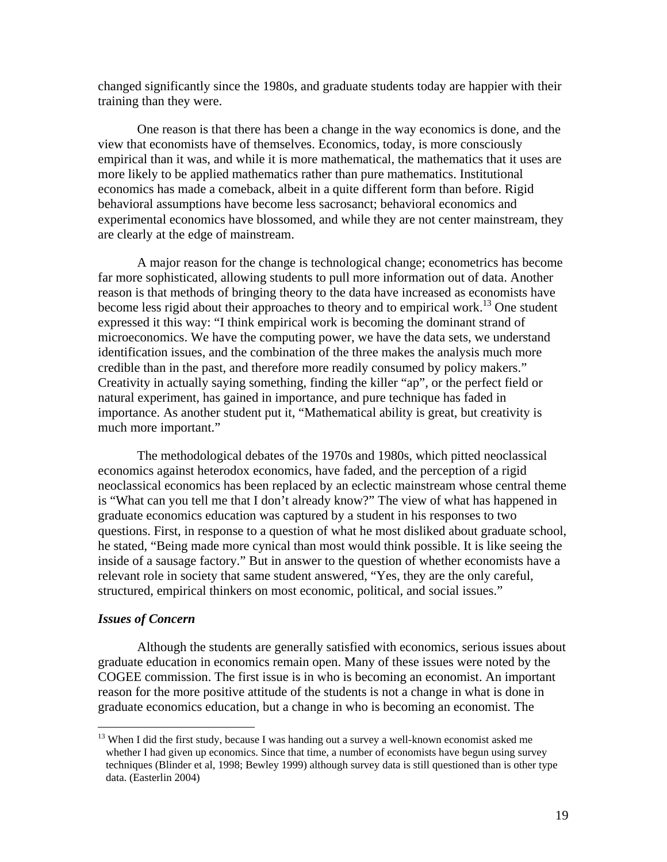changed significantly since the 1980s, and graduate students today are happier with their training than they were.

One reason is that there has been a change in the way economics is done, and the view that economists have of themselves. Economics, today, is more consciously empirical than it was, and while it is more mathematical, the mathematics that it uses are more likely to be applied mathematics rather than pure mathematics. Institutional economics has made a comeback, albeit in a quite different form than before. Rigid behavioral assumptions have become less sacrosanct; behavioral economics and experimental economics have blossomed, and while they are not center mainstream, they are clearly at the edge of mainstream.

A major reason for the change is technological change; econometrics has become far more sophisticated, allowing students to pull more information out of data. Another reason is that methods of bringing theory to the data have increased as economists have become less rigid about their approaches to theory and to empirical work.<sup>13</sup> One student expressed it this way: "I think empirical work is becoming the dominant [stra](#page-19-0)nd of microeconomics. We have the computing power, we have the data sets, we understand identification issues, and the combination of the three makes the analysis much more credible than in the past, and therefore more readily consumed by policy makers." Creativity in actually saying something, finding the killer "ap", or the perfect field or natural experiment, has gained in importance, and pure technique has faded in importance. As another student put it, "Mathematical ability is great, but creativity is much more important."

The methodological debates of the 1970s and 1980s, which pitted neoclassical economics against heterodox economics, have faded, and the perception of a rigid neoclassical economics has been replaced by an eclectic mainstream whose central theme is "What can you tell me that I don't already know?" The view of what has happened in graduate economics education was captured by a student in his responses to two questions. First, in response to a question of what he most disliked about graduate school, he stated, "Being made more cynical than most would think possible. It is like seeing the inside of a sausage factory." But in answer to the question of whether economists have a relevant role in society that same student answered, "Yes, they are the only careful, structured, empirical thinkers on most economic, political, and social issues."

#### *Issues of Concern*

<u>.</u>

Although the students are generally satisfied with economics, serious issues about graduate education in economics remain open. Many of these issues were noted by the COGEE commission. The first issue is in who is becoming an economist. An important reason for the more positive attitude of the students is not a change in what is done in graduate economics education, but a change in who is becoming an economist. The

<span id="page-19-0"></span><sup>&</sup>lt;sup>13</sup> When I did the first study, because I was handing out a survey a well-known economist asked me whether I had given up economics. Since that time, a number of economists have begun using survey techniques (Blinder et al, 1998; Bewley 1999) although survey data is still questioned than is other type data. (Easterlin 2004)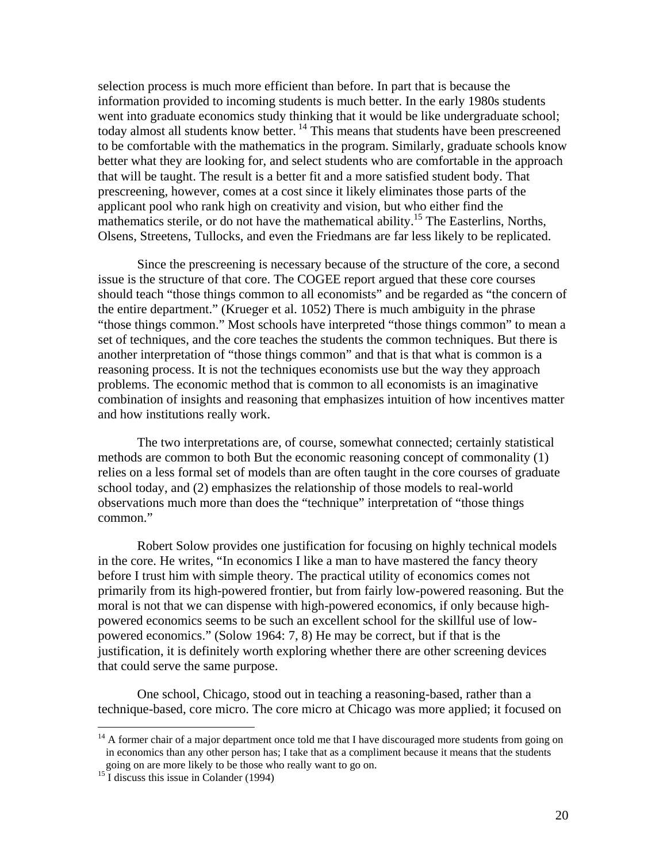selection process is much more efficient than before. In part that is because the information provided to incoming students is much better. In the early 1980s students went into graduate economics study thinking that it would be like undergraduate school; today almost all students know better.<sup>14</sup> This means that students have been prescreened to be comfortable with the mathemati[cs i](#page-20-0)n the program. Similarly, graduate schools know better what they are looking for, and select students who are comfortable in the approach that will be taught. The result is a better fit and a more satisfied student body. That prescreening, however, comes at a cost since it likely eliminates those parts of the applicant pool who rank high on creativity and vision, but who either find the mathematics sterile, or do not have the mathematical ability.<sup>15</sup> The Easterlins, Norths, Olsens, Streetens, Tullocks, and even the Friedmans are far [les](#page-20-1)s likely to be replicated.

Since the prescreening is necessary because of the structure of the core, a second issue is the structure of that core. The COGEE report argued that these core courses should teach "those things common to all economists" and be regarded as "the concern of the entire department." (Krueger et al. 1052) There is much ambiguity in the phrase "those things common." Most schools have interpreted "those things common" to mean a set of techniques, and the core teaches the students the common techniques. But there is another interpretation of "those things common" and that is that what is common is a reasoning process. It is not the techniques economists use but the way they approach problems. The economic method that is common to all economists is an imaginative combination of insights and reasoning that emphasizes intuition of how incentives matter and how institutions really work.

The two interpretations are, of course, somewhat connected; certainly statistical methods are common to both But the economic reasoning concept of commonality (1) relies on a less formal set of models than are often taught in the core courses of graduate school today, and (2) emphasizes the relationship of those models to real-world observations much more than does the "technique" interpretation of "those things common."

Robert Solow provides one justification for focusing on highly technical models in the core. He writes, "In economics I like a man to have mastered the fancy theory before I trust him with simple theory. The practical utility of economics comes not primarily from its high-powered frontier, but from fairly low-powered reasoning. But the moral is not that we can dispense with high-powered economics, if only because highpowered economics seems to be such an excellent school for the skillful use of lowpowered economics." (Solow 1964: 7, 8) He may be correct, but if that is the justification, it is definitely worth exploring whether there are other screening devices that could serve the same purpose.

One school, Chicago, stood out in teaching a reasoning-based, rather than a technique-based, core micro. The core micro at Chicago was more applied; it focused on

 $\overline{a}$ 

<span id="page-20-0"></span><sup>&</sup>lt;sup>14</sup> A former chair of a major department once told me that I have discouraged more students from going on in economics than any other person has; I take that as a compliment because it means that the students going on are more likely to be those who really want to go on. 15 I discuss this issue in Colander (1994)

<span id="page-20-1"></span>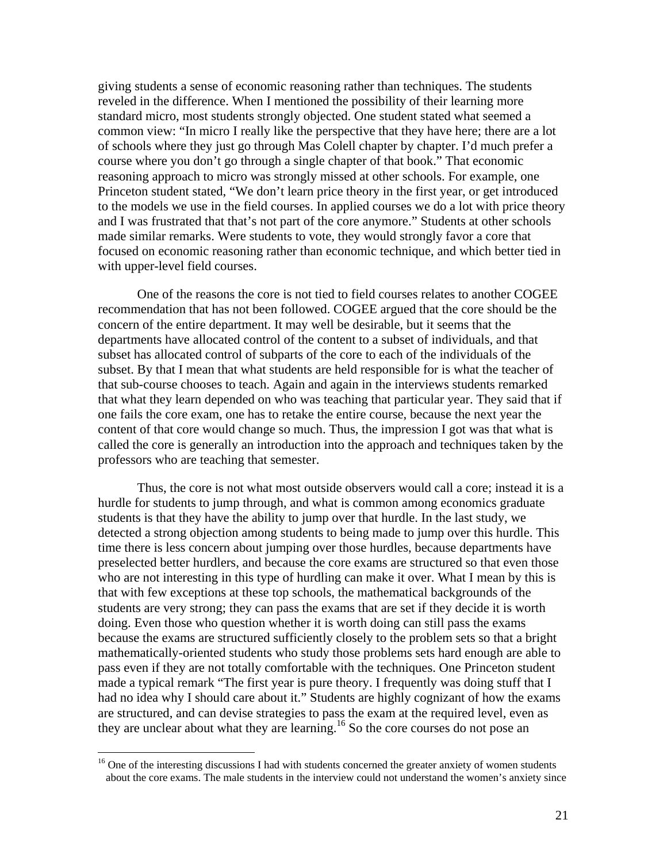<span id="page-21-0"></span>giving students a sense of economic reasoning rather than techniques. The students reveled in the difference. When I mentioned the possibility of their learning more standard micro, most students strongly objected. One student stated what seemed a common view: "In micro I really like the perspective that they have here; there are a lot of schools where they just go through Mas Colell chapter by chapter. I'd much prefer a course where you don't go through a single chapter of that book." That economic reasoning approach to micro was strongly missed at other schools. For example, one Princeton student stated, "We don't learn price theory in the first year, or get introduced to the models we use in the field courses. In applied courses we do a lot with price theory and I was frustrated that that's not part of the core anymore." Students at other schools made similar remarks. Were students to vote, they would strongly favor a core that focused on economic reasoning rather than economic technique, and which better tied in with upper-level field courses.

One of the reasons the core is not tied to field courses relates to another COGEE recommendation that has not been followed. COGEE argued that the core should be the concern of the entire department. It may well be desirable, but it seems that the departments have allocated control of the content to a subset of individuals, and that subset has allocated control of subparts of the core to each of the individuals of the subset. By that I mean that what students are held responsible for is what the teacher of that sub-course chooses to teach. Again and again in the interviews students remarked that what they learn depended on who was teaching that particular year. They said that if one fails the core exam, one has to retake the entire course, because the next year the content of that core would change so much. Thus, the impression I got was that what is called the core is generally an introduction into the approach and techniques taken by the professors who are teaching that semester.

Thus, the core is not what most outside observers would call a core; instead it is a hurdle for students to jump through, and what is common among economics graduate students is that they have the ability to jump over that hurdle. In the last study, we detected a strong objection among students to being made to jump over this hurdle. This time there is less concern about jumping over those hurdles, because departments have preselected better hurdlers, and because the core exams are structured so that even those who are not interesting in this type of hurdling can make it over. What I mean by this is that with few exceptions at these top schools, the mathematical backgrounds of the students are very strong; they can pass the exams that are set if they decide it is worth doing. Even those who question whether it is worth doing can still pass the exams because the exams are structured sufficiently closely to the problem sets so that a bright mathematically-oriented students who study those problems sets hard enough are able to pass even if they are not totally comfortable with the techniques. One Princeton student made a typical remark "The first year is pure theory. I frequently was doing stuff that I had no idea why I should care about it." Students are highly cognizant of how the exams are structured, and can devise strategies to pass the exam at the required level, even as they are unclear about what they are learning[.](#page-21-0)<sup>16</sup>So the core courses do not pose an

 $\overline{a}$ 

<sup>&</sup>lt;sup>16</sup> One of the interesting discussions I had with students concerned the greater anxiety of women students about the core exams. The male students in the interview could not understand the women's anxiety since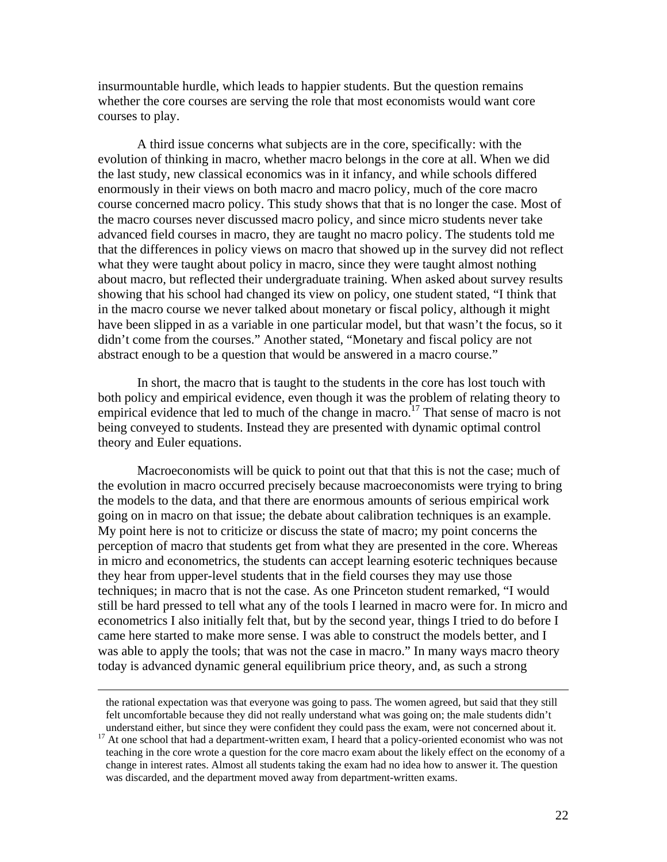insurmountable hurdle, which leads to happier students. But the question remains whether the core courses are serving the role that most economists would want core courses to play.

A third issue concerns what subjects are in the core, specifically: with the evolution of thinking in macro, whether macro belongs in the core at all. When we did the last study, new classical economics was in it infancy, and while schools differed enormously in their views on both macro and macro policy, much of the core macro course concerned macro policy. This study shows that that is no longer the case. Most of the macro courses never discussed macro policy, and since micro students never take advanced field courses in macro, they are taught no macro policy. The students told me that the differences in policy views on macro that showed up in the survey did not reflect what they were taught about policy in macro, since they were taught almost nothing about macro, but reflected their undergraduate training. When asked about survey results showing that his school had changed its view on policy, one student stated, "I think that in the macro course we never talked about monetary or fiscal policy, although it might have been slipped in as a variable in one particular model, but that wasn't the focus, so it didn't come from the courses." Another stated, "Monetary and fiscal policy are not abstract enough to be a question that would be answered in a macro course."

In short, the macro that is taught to the students in the core has lost touch with both policy and empirical evidence, even though it was the problem of relating theory to empirical evidence that led to much of the change in macro.<sup>17</sup> That sense of macro is not being conveyed to students. Instead they are presented with [dy](#page-22-0)namic optimal control theory and Euler equations.

Macroeconomists will be quick to point out that that this is not the case; much of the evolution in macro occurred precisely because macroeconomists were trying to bring the models to the data, and that there are enormous amounts of serious empirical work going on in macro on that issue; the debate about calibration techniques is an example. My point here is not to criticize or discuss the state of macro; my point concerns the perception of macro that students get from what they are presented in the core. Whereas in micro and econometrics, the students can accept learning esoteric techniques because they hear from upper-level students that in the field courses they may use those techniques; in macro that is not the case. As one Princeton student remarked, "I would still be hard pressed to tell what any of the tools I learned in macro were for. In micro and econometrics I also initially felt that, but by the second year, things I tried to do before I came here started to make more sense. I was able to construct the models better, and I was able to apply the tools; that was not the case in macro." In many ways macro theory today is advanced dynamic general equilibrium price theory, and, as such a strong

the rational expectation was that everyone was going to pass. The women agreed, but said that they still felt uncomfortable because they did not really understand what was going on; the male students didn't

<span id="page-22-0"></span>understand either, but since they were confident they could pass the exam, were not concerned about it. 17 At one school that had a department-written exam, I heard that a policy-oriented economist who was not teaching in the core wrote a question for the core macro exam about the likely effect on the economy of a change in interest rates. Almost all students taking the exam had no idea how to answer it. The question was discarded, and the department moved away from department-written exams.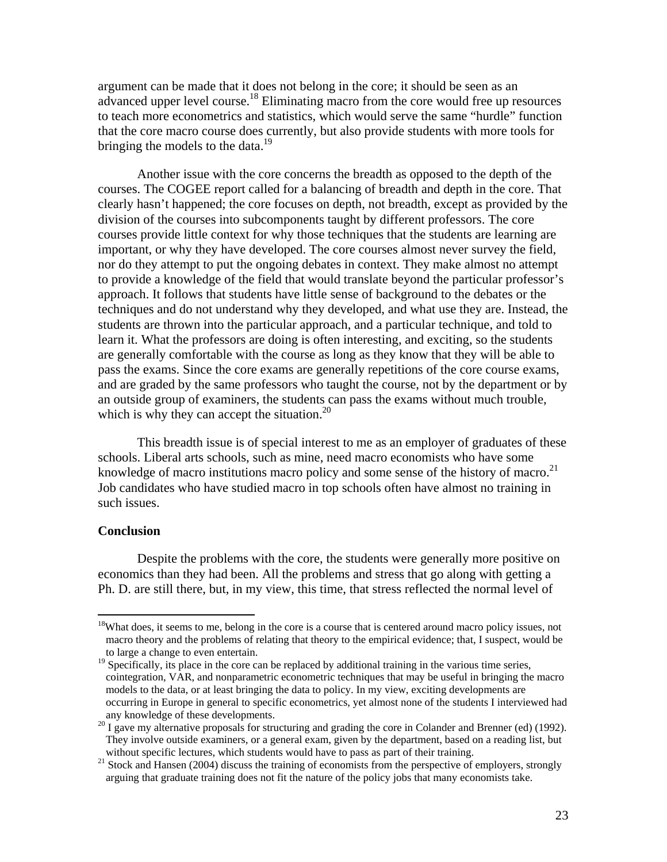argument can be made that it does not belong in the core; it should be seen as an advanced upper level course.18 Eliminating macro from the core would free up resources to teach more econometrics [and](#page-23-0) statistics, which would serve the same "hurdle" function that the core macro course does currently, but also provide students with more tools for bringing the models to the data[.](#page-23-1)<sup>19</sup>

Another issue with the core concerns the breadth as opposed to the depth of the courses. The COGEE report called for a balancing of breadth and depth in the core. That clearly hasn't happened; the core focuses on depth, not breadth, except as provided by the division of the courses into subcomponents taught by different professors. The core courses provide little context for why those techniques that the students are learning are important, or why they have developed. The core courses almost never survey the field, nor do they attempt to put the ongoing debates in context. They make almost no attempt to provide a knowledge of the field that would translate beyond the particular professor's approach. It follows that students have little sense of background to the debates or the techniques and do not understand why they developed, and what use they are. Instead, the students are thrown into the particular approach, and a particular technique, and told to learn it. What the professors are doing is often interesting, and exciting, so the students are generally comfortable with the course as long as they know that they will be able to pass the exams. Since the core exams are generally repetitions of the core course exams, and are graded by the same professors who taught the course, not by the department or by an outside group of examiners, the students can pass the exams without much trouble, which is why they can accept the situation[.](#page-23-2)<sup>20</sup>

This breadth issue is of special interest to me as an employer of graduates of these schools. Liberal arts schools, such as mine, need macro economists who have some knowledge of macro institutions macro policy and some sense of the history of macro.<sup>21</sup> Job candidates who have studied macro in top schools often have almost no training i[n](#page-23-3)  such issues.

# **Conclusion**

 $\overline{a}$ 

Despite the problems with the core, the students were generally more positive on economics than they had been. All the problems and stress that go along with getting a Ph. D. are still there, but, in my view, this time, that stress reflected the normal level of

<span id="page-23-0"></span><sup>&</sup>lt;sup>18</sup>What does, it seems to me, belong in the core is a course that is centered around macro policy issues, not macro theory and the problems of relating that theory to the empirical evidence; that, I suspect, would be

<span id="page-23-1"></span>to large a change to even entertain.<br><sup>19</sup> Specifically, its place in the core can be replaced by additional training in the various time series, cointegration, VAR, and nonparametric econometric techniques that may be useful in bringing the macro models to the data, or at least bringing the data to policy. In my view, exciting developments are occurring in Europe in general to specific econometrics, yet almost none of the students I interviewed had any knowledge of these developments.<br><sup>20</sup> I gave my alternative proposals for structuring and grading the core in Colander and Brenner (ed) (1992).

<span id="page-23-2"></span>They involve outside examiners, or a general exam, given by the department, based on a reading list, but without specific lectures, which students would have to pass as part of their training.<br><sup>21</sup> Stock and Hansen (2004) discuss the training of economists from the perspective of employers, strongly

<span id="page-23-3"></span>arguing that graduate training does not fit the nature of the policy jobs that many economists take.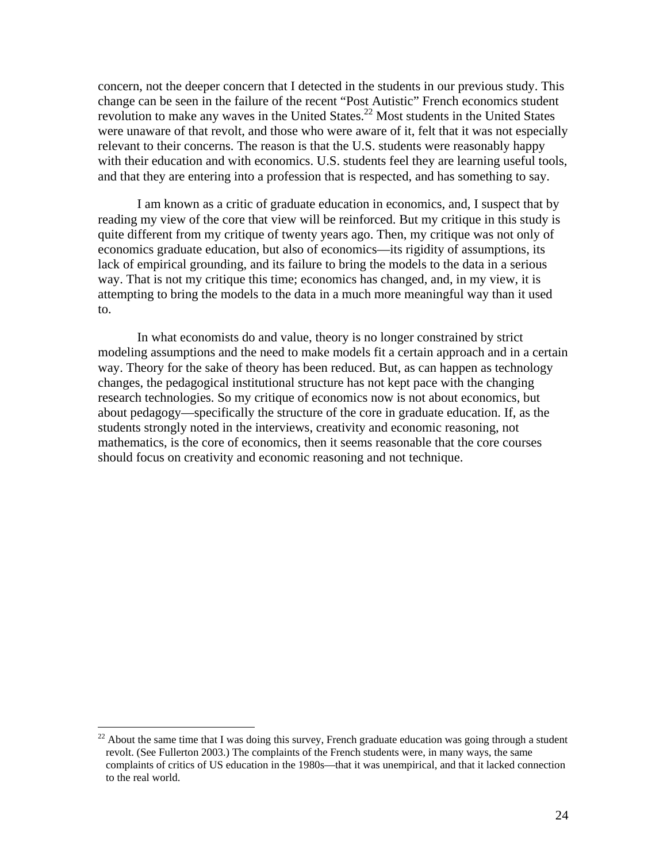concern, not the deeper concern that I detected in the students in our previous study. This change can be seen in the failure of the recent "Post Autistic" French economics student revolution to make any waves in the United States.<sup>22</sup> Most students in the United States were unaware of that revolt, and those who were a[war](#page-24-0)e of it, felt that it was not especially relevant to their concerns. The reason is that the U.S. students were reasonably happy with their education and with economics. U.S. students feel they are learning useful tools, and that they are entering into a profession that is respected, and has something to say.

I am known as a critic of graduate education in economics, and, I suspect that by reading my view of the core that view will be reinforced. But my critique in this study is quite different from my critique of twenty years ago. Then, my critique was not only of economics graduate education, but also of economics—its rigidity of assumptions, its lack of empirical grounding, and its failure to bring the models to the data in a serious way. That is not my critique this time; economics has changed, and, in my view, it is attempting to bring the models to the data in a much more meaningful way than it used to.

In what economists do and value, theory is no longer constrained by strict modeling assumptions and the need to make models fit a certain approach and in a certain way. Theory for the sake of theory has been reduced. But, as can happen as technology changes, the pedagogical institutional structure has not kept pace with the changing research technologies. So my critique of economics now is not about economics, but about pedagogy—specifically the structure of the core in graduate education. If, as the students strongly noted in the interviews, creativity and economic reasoning, not mathematics, is the core of economics, then it seems reasonable that the core courses should focus on creativity and economic reasoning and not technique.

 $\overline{a}$ 

<span id="page-24-0"></span> $^{22}$  About the same time that I was doing this survey, French graduate education was going through a student revolt. (See Fullerton 2003.) The complaints of the French students were, in many ways, the same complaints of critics of US education in the 1980s—that it was unempirical, and that it lacked connection to the real world.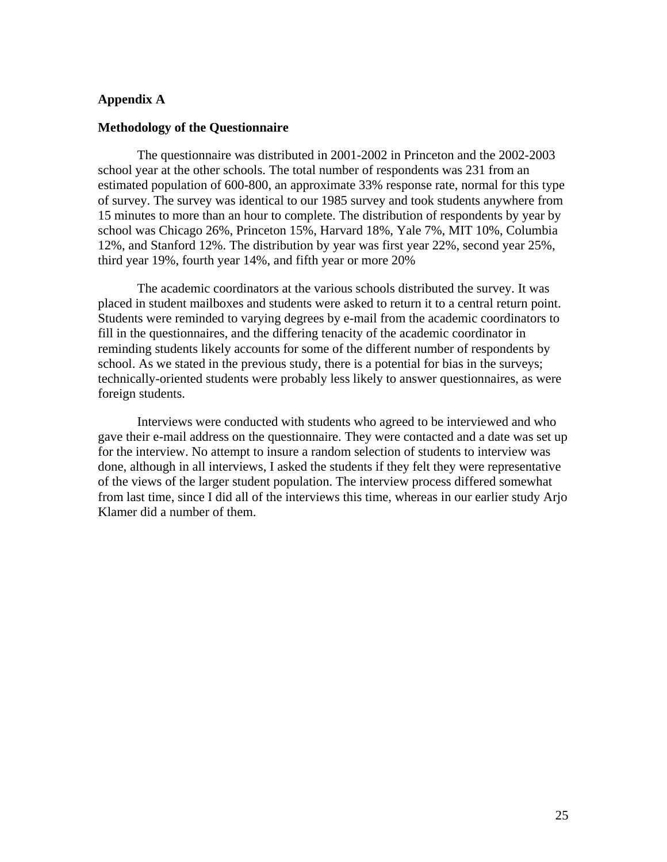# **Appendix A**

#### **Methodology of the Questionnaire**

The questionnaire was distributed in 2001-2002 in Princeton and the 2002-2003 school year at the other schools. The total number of respondents was 231 from an estimated population of 600-800, an approximate 33% response rate, normal for this type of survey. The survey was identical to our 1985 survey and took students anywhere from 15 minutes to more than an hour to complete. The distribution of respondents by year by school was Chicago 26%, Princeton 15%, Harvard 18%, Yale 7%, MIT 10%, Columbia 12%, and Stanford 12%. The distribution by year was first year 22%, second year 25%, third year 19%, fourth year 14%, and fifth year or more 20%

The academic coordinators at the various schools distributed the survey. It was placed in student mailboxes and students were asked to return it to a central return point. Students were reminded to varying degrees by e-mail from the academic coordinators to fill in the questionnaires, and the differing tenacity of the academic coordinator in reminding students likely accounts for some of the different number of respondents by school. As we stated in the previous study, there is a potential for bias in the surveys; technically-oriented students were probably less likely to answer questionnaires, as were foreign students.

Interviews were conducted with students who agreed to be interviewed and who gave their e-mail address on the questionnaire. They were contacted and a date was set up for the interview. No attempt to insure a random selection of students to interview was done, although in all interviews, I asked the students if they felt they were representative of the views of the larger student population. The interview process differed somewhat from last time, since I did all of the interviews this time, whereas in our earlier study Arjo Klamer did a number of them.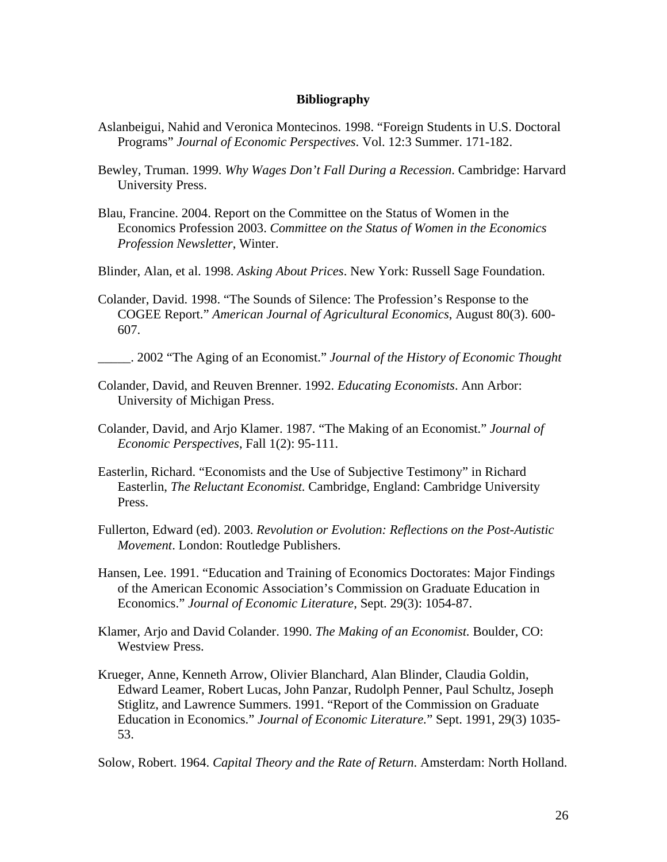# **Bibliography**

- Aslanbeigui, Nahid and Veronica Montecinos. 1998. "Foreign Students in U.S. Doctoral Programs" *Journal of Economic Perspectives*. Vol. 12:3 Summer. 171-182.
- Bewley, Truman. 1999. *Why Wages Don't Fall During a Recession*. Cambridge: Harvard University Press.
- Blau, Francine. 2004. Report on the Committee on the Status of Women in the Economics Profession 2003. *Committee on the Status of Women in the Economics Profession Newsletter*, Winter.

Blinder, Alan, et al. 1998. *Asking About Prices*. New York: Russell Sage Foundation.

Colander, David. 1998. "The Sounds of Silence: The Profession's Response to the COGEE Report." *American Journal of Agricultural Economics*, August 80(3). 600- 607.

\_\_\_\_\_. 2002 "The Aging of an Economist." *Journal of the History of Economic Thought*

- Colander, David, and Reuven Brenner. 1992. *Educating Economists*. Ann Arbor: University of Michigan Press.
- Colander, David, and Arjo Klamer. 1987. "The Making of an Economist." *Journal of Economic Perspectives*, Fall 1(2): 95-111.
- Easterlin, Richard. "Economists and the Use of Subjective Testimony" in Richard Easterlin, *The Reluctant Economist.* Cambridge, England: Cambridge University Press.
- Fullerton, Edward (ed). 2003. *Revolution or Evolution: Reflections on the Post-Autistic Movement*. London: Routledge Publishers.
- Hansen, Lee. 1991. "Education and Training of Economics Doctorates: Major Findings of the American Economic Association's Commission on Graduate Education in Economics." *Journal of Economic Literature*, Sept. 29(3): 1054-87.
- Klamer, Arjo and David Colander. 1990. *The Making of an Economist.* Boulder, CO: Westview Press.
- Krueger, Anne, Kenneth Arrow, Olivier Blanchard, Alan Blinder, Claudia Goldin, Edward Leamer, Robert Lucas, John Panzar, Rudolph Penner, Paul Schultz, Joseph Stiglitz, and Lawrence Summers. 1991. "Report of the Commission on Graduate Education in Economics." *Journal of Economic Literature.*" Sept. 1991, 29(3) 1035- 53.

Solow, Robert. 1964. *Capital Theory and the Rate of Return*. Amsterdam: North Holland.